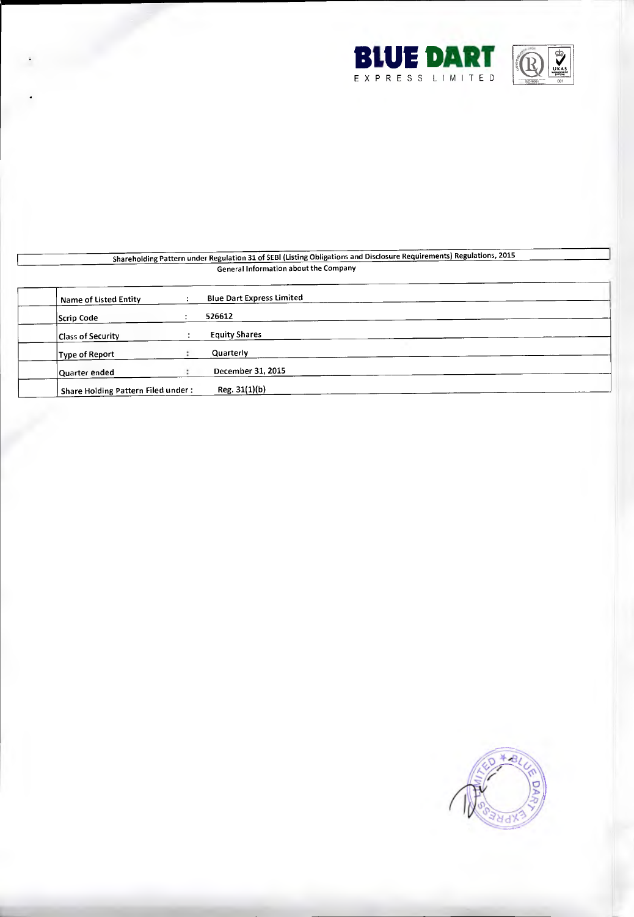



### Shareholding Pattern under Regulation 31 of SEBI (Listing Obligations and Disclosure Requirements) Regulations, 2015 General Information about the Company

| Name of Listed Entity              | <b>Blue Dart Express Limited</b> |  |
|------------------------------------|----------------------------------|--|
| Scrip Code                         | 526612                           |  |
| <b>Class of Security</b>           | <b>Equity Shares</b>             |  |
| <b>Type of Report</b>              | Quarterly                        |  |
| Quarter ended                      | December 31, 2015                |  |
| Share Holding Pattern Filed under: | Reg. 31(1)(b)                    |  |

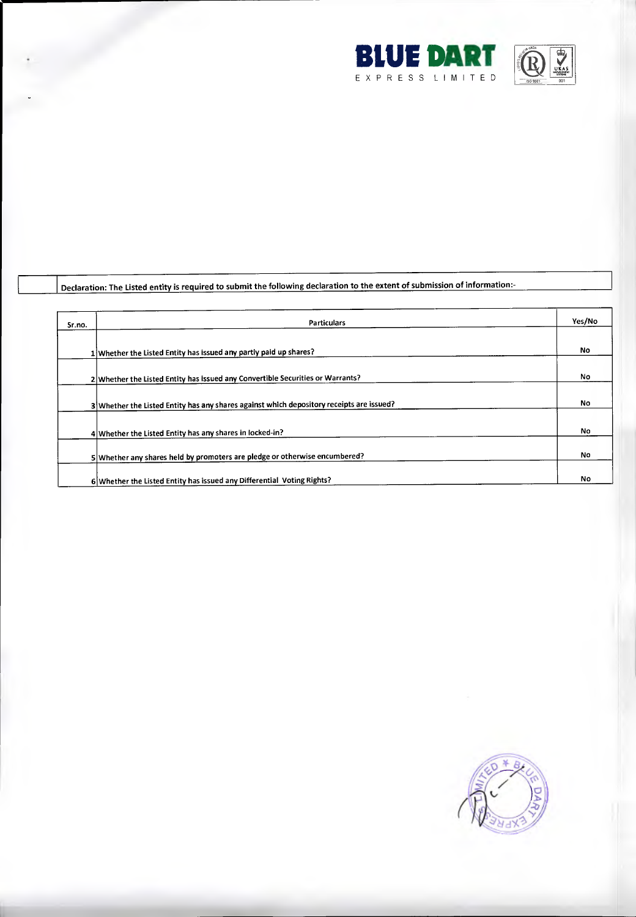



## Declaration: The Listed entity is required to submit the following declaration to the extent of submission of information:-

| Sr.no. | <b>Particulars</b>                                                                       | Yes/No    |
|--------|------------------------------------------------------------------------------------------|-----------|
|        |                                                                                          |           |
|        | 1 Whether the Listed Entity has issued any partly paid up shares?                        | <b>No</b> |
|        |                                                                                          |           |
|        | 2 Whether the Listed Entity has issued any Convertible Securities or Warrants?           | No        |
|        |                                                                                          |           |
|        | 3 Whether the Listed Entity has any shares against which depository receipts are issued? | No        |
|        |                                                                                          |           |
|        | 4 Whether the Listed Entity has any shares in locked-in?                                 | No.       |
|        |                                                                                          |           |
|        | 5 Whether any shares held by promoters are pledge or otherwise encumbered?               | No.       |
|        |                                                                                          |           |
|        | 6 Whether the Listed Entity has issued any Differential Voting Rights?                   | No        |

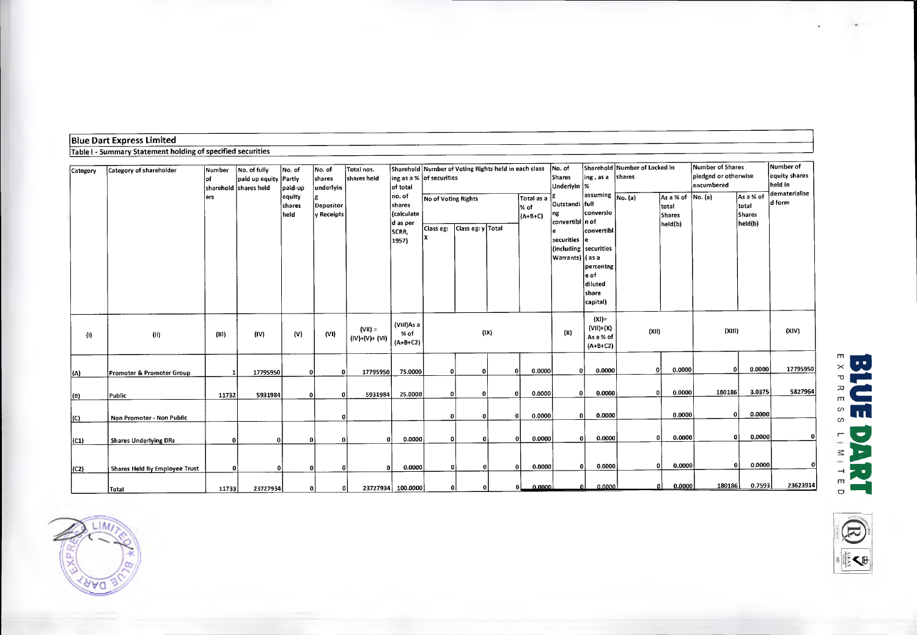| Limited<br> Blue Dari<br>t Express.                              |  |
|------------------------------------------------------------------|--|
| I - Summary Statement holding of specified securities<br>Table I |  |

| Category          | Category of shareholder       | Number<br>lof | No. of fully<br>paid up equity Partly<br>sharehold Ishares held | No. of<br>paid-up        | No. of<br>shares<br>underlyin  | Total nos.<br>shares held    | ing as a % of securities<br>of total                         |                                  | Sharehold Number of Voting Rights held in each class |          |                                 | No. of<br>Shares<br>Underlyin  %                                                      |                                                                                                                                                       | Sharehold Number of Locked in<br>ing, as a shares |                                                                 |        | Number of Shares<br>pledged or otherwise       | Number of<br>equity shares<br>held in |
|-------------------|-------------------------------|---------------|-----------------------------------------------------------------|--------------------------|--------------------------------|------------------------------|--------------------------------------------------------------|----------------------------------|------------------------------------------------------|----------|---------------------------------|---------------------------------------------------------------------------------------|-------------------------------------------------------------------------------------------------------------------------------------------------------|---------------------------------------------------|-----------------------------------------------------------------|--------|------------------------------------------------|---------------------------------------|
|                   |                               | ers           |                                                                 | equity<br>shares<br>held | <b>Depositor</b><br>y Receipts |                              | no. of<br>shares<br>(calculate<br>d as per<br>SCRR,<br>1957) | No of Voting Rights<br>Class eg: | Class eg: y Total                                    |          | Total as a<br>% of<br>$(A+B+C)$ | Outstandi full<br>ng<br>convertibl n of<br>$ $ securities $ $ e<br> Warrants)  ( as a | assuming $\boxed{\mathsf{No}.(\mathsf{a})}$<br>conversio<br>convertibl<br>(including securities)<br>percentag<br>e of<br>diluted<br>share<br>capital) |                                                   | $\vert$ As a % of $\vert$ No. (a)<br>total<br>Shares<br>held(b) |        | As a % of<br>total<br><b>Shares</b><br>held(b) | dematerialise<br>d form               |
| $\left( 0\right)$ | (0)                           | (III)         | (IV)                                                            | (V)                      | (VI)                           | $(VII) =$<br>$(IV)+(V)+(VI)$ | (VIII)As a<br>$%$ of<br>$(A+B+C2)$                           |                                  | (IX)                                                 |          |                                 | (X)                                                                                   | $(XI)$ =<br>$(VII)+(X)$<br>As a % of<br>$(A+B+C2)$                                                                                                    | (X 1)                                             |                                                                 | (XIII) |                                                | (XIV)                                 |
| (A)               | Promoter & Promoter Group     |               | 17795950                                                        | $\Omega$                 | 0                              | 17795950                     | 75.0000                                                      | $\mathbf{0}$                     | O.                                                   | ß        | 0.0000                          |                                                                                       | οI<br>0.0000                                                                                                                                          | $\bf{0}$                                          | 0.0000                                                          | 0      | 0.0000                                         | 17795950                              |
| (B)               | Public                        | 11732         | 5931984                                                         | $\mathbf{0}$             | $\Omega$                       | 5931984                      | 25.0000                                                      | ٥I                               | 0                                                    | -0       | 0.0000                          |                                                                                       | 0.0000<br>01                                                                                                                                          | 0                                                 | 0.0000                                                          | 180186 | 3.0375                                         | 5827964                               |
| $ 1C\rangle$      | Non Promoter - Non Public     |               |                                                                 |                          |                                |                              |                                                              | οl                               | 0                                                    | n        | 0.0000                          |                                                                                       | 0.0000<br>οl                                                                                                                                          |                                                   | 0.0000                                                          | ΩI     | 0.0000                                         |                                       |
| (C1)              | <b>Shares Underlying DRs</b>  | $\bf{0}$      | n.                                                              | ΩI                       | $\Omega$                       |                              | 0.0000                                                       | ΩI                               | n                                                    | $\Omega$ | 0.0000                          |                                                                                       | 0.0000<br><sub>0</sub>                                                                                                                                | n                                                 | 0.0000                                                          | ۵I     | 0.0000                                         | $\mathbf{0}$                          |
| (C2)              | Shares Held By Employee Trust | O             | $\mathbf{0}$                                                    | 01                       |                                |                              | 0.0000                                                       | n.                               | $\Omega$                                             | $\Omega$ | 0.0000                          |                                                                                       | 0.0000<br>οl                                                                                                                                          | 0l                                                | 0.0000                                                          | οl     | 0.0000                                         | $\mathbf{0}$                          |
|                   | Total                         | 11733         | 23727934                                                        | οI                       | 0                              |                              | 23727934 100.0000                                            | ΘI                               | $\Omega$                                             |          | 0.0000<br>ΩL                    |                                                                                       | 0.0000<br>$\Omega$                                                                                                                                    |                                                   | 0.0000                                                          | 180186 | 0.7593                                         | 23623914                              |





ζ₿

 $\omega$  $\omega$ -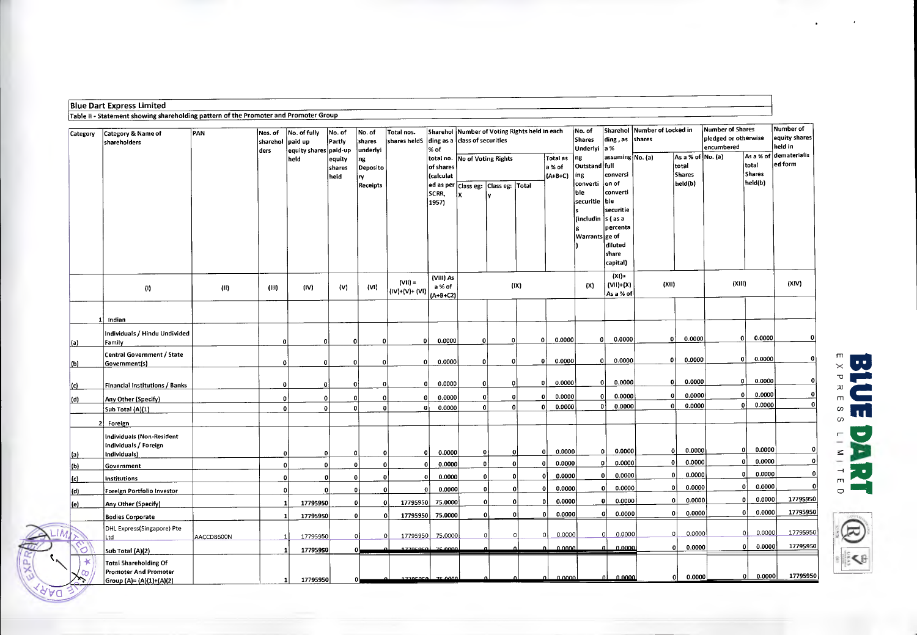| Category                          | Category & Name of<br>shareholders                                                       | PAN        | Nos. of<br>sharehol<br>ders | No. of fully<br>paid up<br>equity shares paid-up | No. of<br>Partly         | No. of<br>shares<br>underlyi | Total nos.<br>shares heldS  | % of                              | Sharehol Number of Voting Rights held in each<br>ding as a class of securities |   |                |                                 | No. of<br><b>Shares</b><br>Underlyi                                   | ding, as<br>a %                                                                   | Sharehol Number of Locked in<br>shares |                                             | <b>Number of Shares</b><br>pledged or otherwise<br>encumbered |                                     | Number of<br>equity shares<br>held in |
|-----------------------------------|------------------------------------------------------------------------------------------|------------|-----------------------------|--------------------------------------------------|--------------------------|------------------------------|-----------------------------|-----------------------------------|--------------------------------------------------------------------------------|---|----------------|---------------------------------|-----------------------------------------------------------------------|-----------------------------------------------------------------------------------|----------------------------------------|---------------------------------------------|---------------------------------------------------------------|-------------------------------------|---------------------------------------|
|                                   |                                                                                          |            |                             | held                                             | equity<br>shares<br>held | ng<br>Deposito<br> ry        |                             | of shares<br>(calculat            | total no. No of Voting Rights                                                  |   |                | Total as<br>a % of<br>$(A+B+C)$ | ng<br>Outstand full<br>ing                                            | assuming No. (a)<br>conversi                                                      |                                        | As a % of No. (a)<br>total<br><b>Shares</b> |                                                               | As a % of<br>total<br><b>Shares</b> | dematerialis<br>ed form               |
|                                   |                                                                                          |            |                             |                                                  |                          | Receipts                     |                             | SCRR.<br>1957)                    | ed as per Class eg: Class eg: Total                                            |   |                |                                 | converti<br> ble<br>securitie<br>(includin s ( as a<br>Warrants ge of | on of<br>converti<br>ble<br>securitie<br>percenta<br>diluted<br>share<br>capital) |                                        | held(b)                                     |                                                               | heid(b)                             |                                       |
|                                   | $\left\langle 0\right\rangle$                                                            | (11)       | (III)                       | (IV)                                             | (V)                      | (VI)                         | $(VII) =$<br>(IV)+(V)+ (VI) | (VIII) As<br>a % of<br>$(A+B+C2)$ |                                                                                |   | (IX)           |                                 | (X)                                                                   | $(X1)$ =<br>$(VII)+(X)$<br>As a % of                                              | (X  )                                  |                                             | (XIII)                                                        |                                     | (XIV)                                 |
|                                   | Indian                                                                                   |            |                             |                                                  |                          |                              |                             |                                   |                                                                                |   |                |                                 |                                                                       |                                                                                   |                                        |                                             |                                                               |                                     |                                       |
| <u>(a)</u>                        | Individuals / Hindu Undivided<br>Family                                                  |            | o                           | 0                                                | 0                        | 0                            | $\mathbf{0}$                | 0.0000                            | O                                                                              | n | Û              | 0.0000                          | $\mathbf{0}$                                                          | 0.0000                                                                            | 0                                      | 0.0000                                      | $\Omega$                                                      | 0.0000                              | $\Omega$                              |
| (b)                               | Central Government / State<br>Government(s)                                              |            | $\mathbf{0}$                | $\mathbf 0$                                      | 0                        | οI                           | $\mathbf{0}$                | 0.0000                            | ٥l                                                                             | 0 |                | 0.0000<br>οl                    |                                                                       | 0.0000<br>οl                                                                      |                                        | 0.0000<br>$\mathbf{0}$                      | 0                                                             | 0.0000                              | $\Omega$                              |
| c                                 | Financial Institutions / Banks                                                           |            | $\Omega$                    | 0                                                | $\mathbf{0}$             | 0                            | 0                           | 0.0000                            | 0                                                                              |   | 0              | 0.0000<br>οI                    |                                                                       | 0.0000<br>-o l                                                                    | 0                                      | 0.0000                                      |                                                               | 0.0000<br>0                         | o۱                                    |
| (d)                               | Any Other (Specify)                                                                      |            | 0                           | $\mathbf{0}$                                     | 0                        | 0                            | $\mathbf{0}$                | 0.0000                            | 0                                                                              |   | ٥I             | 0.0000<br>$\Omega$              |                                                                       | 0.0000<br>οl                                                                      |                                        | 0.0000<br>0<br>0.0000<br>٥l                 |                                                               | 0.0000<br>٥I<br>0.0000              | o۱<br>0                               |
|                                   | Sub Total (A)(1)<br>Foreign                                                              |            | $\Omega$                    |                                                  | $\Omega$                 | $\Omega$                     | $\mathbf 0$                 | 0.0000                            | 0                                                                              |   | $\mathfrak{a}$ | 0.0000<br>0                     |                                                                       | 0.0000<br>- O İ                                                                   |                                        |                                             |                                                               |                                     |                                       |
| <u>(a)</u>                        | Individuals (Non-Resident<br>Individuals / Foreign<br>Individuals)                       |            | 0                           | o                                                | $\mathbf 0$              | o                            | $\overline{0}$              | 0.0000                            | 0                                                                              |   | 0              | 0.0000<br>٥I                    |                                                                       | 0.0000<br>οI                                                                      |                                        | 0.0000<br>οl                                |                                                               | 0.0000<br> 0                        | $\mathbf{0}$                          |
| $\vert$ (b)                       | Government                                                                               |            | $\mathbf{o}$                |                                                  | $\mathbf 0$              | $\mathbf{o}$                 | $\mathbf 0$                 | 0.0000                            | $\mathbf{0}$                                                                   |   | ol             | 0.0000<br>$\Omega$              |                                                                       | 0.0000<br>$\mathbf{0}$                                                            |                                        | 0.0000<br>$\mathbf{0}$                      |                                                               | 0.0000<br>$\Omega$                  | $\overline{0}$                        |
| (c)                               | Institutions                                                                             |            | $\mathbf{o}$                |                                                  | $\mathbf 0$              | $\overline{0}$               | $\Omega$                    | 0.0000                            | $\mathbf{0}$                                                                   |   | 0              | 0.0000<br>$\Omega$              |                                                                       | 0.0000<br>$\mathbf{0}$                                                            |                                        | 0.0000<br>οl                                |                                                               | 0.0000<br>$\Omega$                  | $\mathbf{0}$                          |
| (d)                               | Foreign Portfolio Investor                                                               |            | $\mathbf{0}$                |                                                  | $\Omega$                 |                              | $\mathbf{0}$<br>$\Omega$    | 0.0000                            | $\mathbf{0}$                                                                   |   | $\mathbf{0}$   | 0.0000<br>o                     |                                                                       | 0.0000<br>$\Omega$                                                                |                                        | 0.0000<br>٥I                                |                                                               | 0.0000                              | $\mathbf{o}$                          |
| <u>(e)</u>                        | Any Other (Specify)                                                                      |            | $\mathbf{1}$                | 17795950                                         | $\mathbf{0}$             |                              | 17795950<br>$\mathbf{0}$    | 75.0000                           | 0                                                                              |   | $\mathbf{0}$   | 0.0000<br>n                     |                                                                       | 0.0000<br>$\Omega$                                                                |                                        | 0.0000<br>οl                                |                                                               | 0.0000<br>n                         | 17795950                              |
|                                   | <b>Bodies Corporate</b>                                                                  |            | $\mathbf{1}$                | 17795950                                         | $\mathbf 0$              |                              | 17795950<br>$\mathbf{0}$    | 75.0000                           | $\mathbf{0}$                                                                   |   | $\mathfrak{o}$ | 0.0000<br>0                     |                                                                       | 0.0000<br>-o l                                                                    |                                        | 0.0000<br>-01                               |                                                               | 0.0000<br>Λ                         | 17795950                              |
|                                   | DHL Express(Singapore) Pte<br>Ltd                                                        | AACCD8600N |                             | 17795950                                         | $\Omega$                 | $\Omega$                     | 17795950                    | 75,0000                           | $\Omega$                                                                       |   | $\Omega$       | 0.0000<br>O                     |                                                                       | 0.0000<br>$\Omega$                                                                |                                        | 0.0000<br>0                                 |                                                               | 0,0000<br>$\Omega$                  | 17795950                              |
| ∾<br>Ю                            | Sub Total (A)(2)                                                                         |            | $\mathbf{1}$                | 17795950                                         |                          |                              | 17705050                    | 75,0000                           |                                                                                |   |                | مممم                            |                                                                       | 0.0000                                                                            |                                        | 0.0000<br>οl                                |                                                               | 0.0000<br>o                         | 17795950                              |
| $\infty$<br>$\mathsf{X}^{\alpha}$ | <b>Total Shareholding Of</b><br><b>Promoter And Promoter</b><br>Group (A)= (A)(1)+(A)(2) |            | $\mathbf{1}$                | 17795950                                         |                          |                              | المعمعمججي                  | <b>25,0000</b>                    |                                                                                |   |                | لمممم م                         |                                                                       | 0.0000                                                                            |                                        | 0.0000<br>01                                |                                                               | 0.0000<br>$\mathbf{0}$              | 17795950                              |

**M** 

**BLUE DART** 

**U**

Blue Dart Express Limited

**,..,**   $\frac{1}{\sqrt{2}}$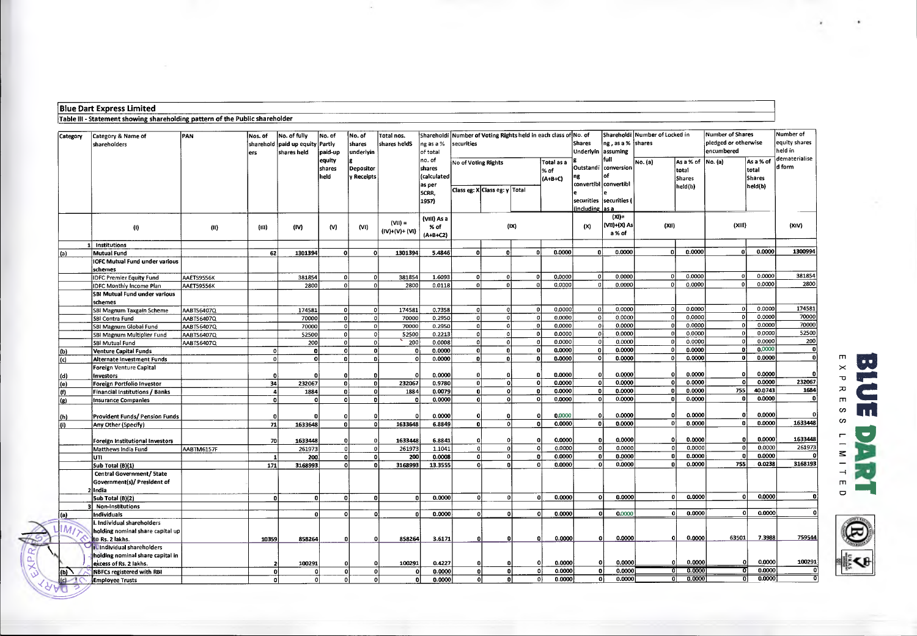#### **Blue Dart Express Limited**

Table Ill - Statement showing shareholding pattern of the Public shareholder

| pledged or otherwise<br>equity shares<br>ng, as a %<br>shares<br>Shares<br>sharehold paid up equity Partly<br>shares<br>shares heldS<br>ng as a %<br>securities<br>shareholders<br>held in<br>encumbered<br>assuming<br>Underlvin<br>underlyin<br>shares held<br>paid-up<br>of total<br>ers<br>dematerialise<br>full<br>equity<br>no. of<br>As a % of<br>As a % of<br>No. (a)<br>No of Voting Rights<br>Total as a<br>No. (a)<br>ld form<br>Outstandi<br>conversion<br>Depositor<br>shares<br>shares<br>total<br>total<br>% of<br>held<br>y Receipts<br>(calculated<br>٥f<br>ng<br><b>Shares</b><br>$(A+B+C)$<br><b>Shares</b><br>convertibl convertibl<br>as per<br>held(b)<br>held(b)<br>Class eg: X Class eg: y Total<br>SCRR.<br>securities  securities (<br>1957)<br>including las a<br>$(XI) =$<br>(VIII) As a<br>$(VII) =$<br>(VII)+(X) As<br>(X  )<br>(XIII)<br>(XIV)<br>(IX)<br>(x)<br>% of<br>(1)<br>(n)<br>(IV)<br>(V)<br>(VI)<br>(11)<br>(IV)+(V)+ (VI)<br>a % of<br>$(A+B+C2)$<br>1 Institutions<br>0.0000<br>1300994<br>0.0000<br>0.0000<br>0.0000<br>-ni<br>۵I<br>62<br>1301394<br>n.<br>1301394<br>5.4846<br>n.<br>n<br>n.<br>n<br>$\Omega$<br><b>Mutual Fund</b><br>(a)<br><b>IOFC Mutual Fund under various</b><br>schemes<br>381854<br>0.0000<br>0.0000<br>0.0000<br>0.0000<br>0<br>οl<br>381854<br>οl<br>381854<br>1.6093<br>-o1<br>$\Omega$<br>$\Omega$<br>$\Omega$<br>AAETS9556K<br><b>IDFC Premier Equity Fund</b><br>0.0000<br>2800<br>0.0000<br>0.0000<br>ol<br>0.0000<br>ol<br>2800<br>0.0118<br>ol<br>2800<br>$\Omega$<br>$\Omega$<br><b>IDFC Monthly Income Plan</b><br><b>AAET59556K</b><br>SBI Mutual Fund under various<br>schemes<br>174581<br>0.0000<br>0.0000<br>0.0000<br>0.0000<br>-ol<br>οl<br>ol<br>-ol<br>$\Omega$<br>174581<br>-ol<br>174581<br>0.7358<br>-ol<br>SBI Magnum Taxgain Scheme<br>AABTS6407Q<br>$\Omega$<br>0.0000<br>70000<br>0.0000<br>-o1<br>0.0000<br>0.0000<br>$\Omega$<br>$\overline{0}$<br>-ol<br>0.2950<br>70000<br>οl<br>-ol<br>70000<br>$\Omega$<br>SBI Contra Fund<br>AABTS6407Q<br>70000<br>0.0000<br>0.0000<br>0.0000<br>0.0000<br>$\overline{0}$<br>70000<br>0.2950<br>0<br>٥l<br>οl<br> 0 <br>$\Omega$<br>SBI Magnum Globai Fund<br>AABTS6407Q<br>70000<br>52500<br>0.0000<br>0.0000<br>0.0000<br>0.0000<br>0.2213<br>οl<br>οl<br>οl<br>-ol<br>52500<br>ol<br>$\Omega$<br>SBI Magnum Multiplier Fund<br>AABTS6407Q<br>52500<br>$\Omega$<br>200<br>0.0000<br>$\Omega$<br>0.0000<br>0.0000<br>$\Omega$<br>0.0000<br>200<br>0.0008<br>0<br>$\Omega$<br>200<br> 0 <br>SBI Mutual Fund<br>AABTS6407Q<br>$\Omega$<br>$\Omega$<br>0,0000<br>$\mathbf{0}$<br>0.0000<br>0.0000<br>0<br>0.0000<br>ol<br>ol<br>$\mathbf{0}$<br>$\Omega$<br>٥l<br>0.0000<br>o<br>n<br>Venture Capital Funds<br>$\mathbf{0}$<br>(b)<br>0<br>0.0000<br>$\mathbf{0}$<br>0.0000<br>0.0000<br>οl<br>0.0000<br>οl<br>$\mathbf{0}$<br>0.0000<br>ol<br>n,<br>$\mathbf{0}$<br>$\mathbf{o}$<br>۵I<br>Ωİ<br>Ωİ<br>(c)<br>Alternate Investment Funds<br>$\Omega$<br>Foreign Venture Capital<br>0.0000<br>0.0000<br>0.0000<br>0.0000<br>n<br>$\Omega$<br>0.0000<br>οl<br>n<br>Ω<br>0<br>$\Omega$<br>Investors<br>(d)<br>0<br>O<br>0.0000<br>232067<br>0.0000<br>0.0000<br>0.0000<br>$\Omega$<br>0Ì<br>-o1<br>٥l<br>οl<br>$\Omega$<br>34<br>232067<br>٥l<br>ol<br>232067<br>0.9780<br>(e)<br>Foreign Portfolio Investor<br>1684<br>755<br>40.0743<br>0.<br>0.0000<br>0.0000<br>-o l<br>0.0000<br>1884<br>0.0079<br>-o1<br>0<br>1884<br>0ł<br>0.<br>l (f)<br>Financial Institutions / Banks<br>٥l<br>4<br>0.0000<br>$\mathbf{0}$<br>٥l<br>٥ł<br>0.0000<br>$\mathbf{0}$<br>0.0000<br>٥I<br>0.0000<br>-nl<br>٥l<br>0.0000<br>o۱<br>(g)<br><b>Insurance Companies</b><br>$\Omega$<br>n<br>$\Omega$<br>0.0000<br>0.0000<br>0.0000<br>0.0000<br>$\Omega$<br>0.0000<br>n<br>$\Omega$<br>Provident Funds/ Pension Funds<br>n<br>(h)<br>0<br>n<br>n<br>n<br>0.0000<br>1633448<br>0.0000<br>0 <sup>1</sup><br>0.0000<br>οl<br>٥l<br>٥I<br>$\mathbf{0}$<br>0.0000<br>οl<br>1633648<br>6.8849<br>71<br>1633648<br>n<br>Any Other (Specify)<br>(n)<br>1633448<br>0.0000<br>0.0000<br>0.0000<br>0.0000<br>1633448<br>n<br>1633448<br>6.8841<br>Foreign Institutional Investors<br>70<br>n<br>$\Omega$<br>n<br>n<br>n<br>0.0000<br>261973<br><sub>n</sub><br>0.0000<br>$\Omega$<br>0.0000<br>0.0000<br>261973<br>$\Omega$<br>$\Omega$<br>261973<br>οl<br>ol<br>1.1041<br>Matthews India Fund<br>AABTM6157F<br>0.0000<br>0.0000<br>0.0000<br>0.0000<br>$\mathbf{a}$<br>n<br>n<br>ol<br>ol<br>200<br>0.0008<br>٥l<br>$\Omega$<br>٥l<br>$\mathbf{0}$<br>200<br>$\mathbf{1}$<br>UTI.<br>3168193<br>0.0000<br>755<br>0.0238<br>0.0000<br>0.0000<br>O<br>o۱<br>3168993<br>13.3555<br>$\Omega$<br>$\Omega$<br>171<br>3168993<br>n.<br>n۱<br>n<br>Sub Total (B)(1)<br>Central Government/ 5tate<br>Government(s)/ President of<br>2 II ndia<br>0.0000<br>0.0000<br>0.0000<br>0.0000<br>$\mathbf{a}$<br>$\Omega$<br>-ol<br>0.0000<br> 0 <br>οl<br>0<br>$\mathbf{0}$<br>- o l<br>nl<br>$\Omega$<br>-ni<br>5ub Total (B)(2)<br><b>Non-Institutions</b><br>0.0000<br>0.0000<br>0.0000<br>0<br>$\Omega$<br>0.0000<br>0.0000<br>οl<br>٥İ<br>٥l<br><b>Individuals</b><br>$\mathbf{a}$<br>n.<br>$\Omega$<br>(a)<br>i. Individual shareholders<br>$1M/\gtrsim$<br>holding nominal share capital up<br>7.3988<br>759544<br>63501<br>0.0000<br>0.0000<br>858264<br>0.0000<br>$\Omega$<br>10359<br>858264<br>3.6171<br>to Rs. 2 lakhs.<br>n<br>0<br>n<br>n<br>Individual shareholders<br>holding nominal share capital in | <b>Category</b> | Category & Name of     | PAN | Nos. of | No. of fully | No. of   | No. of | Total nos.   |        | Shareholdi Number of Voting Rights held in each class of No. of |    |    |              | Shareholdi Number of Locked in    |  |             | <b>Number of Shares</b> | Number of    |        |
|-----------------------------------------------------------------------------------------------------------------------------------------------------------------------------------------------------------------------------------------------------------------------------------------------------------------------------------------------------------------------------------------------------------------------------------------------------------------------------------------------------------------------------------------------------------------------------------------------------------------------------------------------------------------------------------------------------------------------------------------------------------------------------------------------------------------------------------------------------------------------------------------------------------------------------------------------------------------------------------------------------------------------------------------------------------------------------------------------------------------------------------------------------------------------------------------------------------------------------------------------------------------------------------------------------------------------------------------------------------------------------------------------------------------------------------------------------------------------------------------------------------------------------------------------------------------------------------------------------------------------------------------------------------------------------------------------------------------------------------------------------------------------------------------------------------------------------------------------------------------------------------------------------------------------------------------------------------------------------------------------------------------------------------------------------------------------------------------------------------------------------------------------------------------------------------------------------------------------------------------------------------------------------------------------------------------------------------------------------------------------------------------------------------------------------------------------------------------------------------------------------------------------------------------------------------------------------------------------------------------------------------------------------------------------------------------------------------------------------------------------------------------------------------------------------------------------------------------------------------------------------------------------------------------------------------------------------------------------------------------------------------------------------------------------------------------------------------------------------------------------------------------------------------------------------------------------------------------------------------------------------------------------------------------------------------------------------------------------------------------------------------------------------------------------------------------------------------------------------------------------------------------------------------------------------------------------------------------------------------------------------------------------------------------------------------------------------------------------------------------------------------------------------------------------------------------------------------------------------------------------------------------------------------------------------------------------------------------------------------------------------------------------------------------------------------------------------------------------------------------------------------------------------------------------------------------------------------------------------------------------------------------------------------------------------------------------------------------------------------------------------------------------------------------------------------------------------------------------------------------------------------------------------------------------------------------------------------------------------------------------------------------------------------------------------------------------------------------------------------------------------------------------------------------------------------------------------------------------------------------------------------------------------------------------------------------------------------------------------------------------------------------------------------------------------------------------------------------------------------------------------------------------------------------------------------------------------------------------------------------------------------------------------------------------------------------------------------------------------------------------------------------------------------------------------------------------------------------------------------------------------------------|-----------------|------------------------|-----|---------|--------------|----------|--------|--------------|--------|-----------------------------------------------------------------|----|----|--------------|-----------------------------------|--|-------------|-------------------------|--------------|--------|
|                                                                                                                                                                                                                                                                                                                                                                                                                                                                                                                                                                                                                                                                                                                                                                                                                                                                                                                                                                                                                                                                                                                                                                                                                                                                                                                                                                                                                                                                                                                                                                                                                                                                                                                                                                                                                                                                                                                                                                                                                                                                                                                                                                                                                                                                                                                                                                                                                                                                                                                                                                                                                                                                                                                                                                                                                                                                                                                                                                                                                                                                                                                                                                                                                                                                                                                                                                                                                                                                                                                                                                                                                                                                                                                                                                                                                                                                                                                                                                                                                                                                                                                                                                                                                                                                                                                                                                                                                                                                                                                                                                                                                                                                                                                                                                                                                                                                                                                                                                                                                                                                                                                                                                                                                                                                                                                                                                                                                                                                                                                 |                 |                        |     |         |              |          |        |              |        |                                                                 |    |    |              |                                   |  |             |                         |              |        |
|                                                                                                                                                                                                                                                                                                                                                                                                                                                                                                                                                                                                                                                                                                                                                                                                                                                                                                                                                                                                                                                                                                                                                                                                                                                                                                                                                                                                                                                                                                                                                                                                                                                                                                                                                                                                                                                                                                                                                                                                                                                                                                                                                                                                                                                                                                                                                                                                                                                                                                                                                                                                                                                                                                                                                                                                                                                                                                                                                                                                                                                                                                                                                                                                                                                                                                                                                                                                                                                                                                                                                                                                                                                                                                                                                                                                                                                                                                                                                                                                                                                                                                                                                                                                                                                                                                                                                                                                                                                                                                                                                                                                                                                                                                                                                                                                                                                                                                                                                                                                                                                                                                                                                                                                                                                                                                                                                                                                                                                                                                                 |                 |                        |     |         |              |          |        |              |        |                                                                 |    |    |              |                                   |  |             |                         |              |        |
|                                                                                                                                                                                                                                                                                                                                                                                                                                                                                                                                                                                                                                                                                                                                                                                                                                                                                                                                                                                                                                                                                                                                                                                                                                                                                                                                                                                                                                                                                                                                                                                                                                                                                                                                                                                                                                                                                                                                                                                                                                                                                                                                                                                                                                                                                                                                                                                                                                                                                                                                                                                                                                                                                                                                                                                                                                                                                                                                                                                                                                                                                                                                                                                                                                                                                                                                                                                                                                                                                                                                                                                                                                                                                                                                                                                                                                                                                                                                                                                                                                                                                                                                                                                                                                                                                                                                                                                                                                                                                                                                                                                                                                                                                                                                                                                                                                                                                                                                                                                                                                                                                                                                                                                                                                                                                                                                                                                                                                                                                                                 |                 |                        |     |         |              |          |        |              |        |                                                                 |    |    |              |                                   |  |             |                         |              |        |
|                                                                                                                                                                                                                                                                                                                                                                                                                                                                                                                                                                                                                                                                                                                                                                                                                                                                                                                                                                                                                                                                                                                                                                                                                                                                                                                                                                                                                                                                                                                                                                                                                                                                                                                                                                                                                                                                                                                                                                                                                                                                                                                                                                                                                                                                                                                                                                                                                                                                                                                                                                                                                                                                                                                                                                                                                                                                                                                                                                                                                                                                                                                                                                                                                                                                                                                                                                                                                                                                                                                                                                                                                                                                                                                                                                                                                                                                                                                                                                                                                                                                                                                                                                                                                                                                                                                                                                                                                                                                                                                                                                                                                                                                                                                                                                                                                                                                                                                                                                                                                                                                                                                                                                                                                                                                                                                                                                                                                                                                                                                 |                 |                        |     |         |              |          |        |              |        |                                                                 |    |    |              |                                   |  |             |                         |              |        |
|                                                                                                                                                                                                                                                                                                                                                                                                                                                                                                                                                                                                                                                                                                                                                                                                                                                                                                                                                                                                                                                                                                                                                                                                                                                                                                                                                                                                                                                                                                                                                                                                                                                                                                                                                                                                                                                                                                                                                                                                                                                                                                                                                                                                                                                                                                                                                                                                                                                                                                                                                                                                                                                                                                                                                                                                                                                                                                                                                                                                                                                                                                                                                                                                                                                                                                                                                                                                                                                                                                                                                                                                                                                                                                                                                                                                                                                                                                                                                                                                                                                                                                                                                                                                                                                                                                                                                                                                                                                                                                                                                                                                                                                                                                                                                                                                                                                                                                                                                                                                                                                                                                                                                                                                                                                                                                                                                                                                                                                                                                                 |                 |                        |     |         |              |          |        |              |        |                                                                 |    |    |              |                                   |  |             |                         |              |        |
|                                                                                                                                                                                                                                                                                                                                                                                                                                                                                                                                                                                                                                                                                                                                                                                                                                                                                                                                                                                                                                                                                                                                                                                                                                                                                                                                                                                                                                                                                                                                                                                                                                                                                                                                                                                                                                                                                                                                                                                                                                                                                                                                                                                                                                                                                                                                                                                                                                                                                                                                                                                                                                                                                                                                                                                                                                                                                                                                                                                                                                                                                                                                                                                                                                                                                                                                                                                                                                                                                                                                                                                                                                                                                                                                                                                                                                                                                                                                                                                                                                                                                                                                                                                                                                                                                                                                                                                                                                                                                                                                                                                                                                                                                                                                                                                                                                                                                                                                                                                                                                                                                                                                                                                                                                                                                                                                                                                                                                                                                                                 |                 |                        |     |         |              |          |        |              |        |                                                                 |    |    |              |                                   |  |             |                         |              |        |
|                                                                                                                                                                                                                                                                                                                                                                                                                                                                                                                                                                                                                                                                                                                                                                                                                                                                                                                                                                                                                                                                                                                                                                                                                                                                                                                                                                                                                                                                                                                                                                                                                                                                                                                                                                                                                                                                                                                                                                                                                                                                                                                                                                                                                                                                                                                                                                                                                                                                                                                                                                                                                                                                                                                                                                                                                                                                                                                                                                                                                                                                                                                                                                                                                                                                                                                                                                                                                                                                                                                                                                                                                                                                                                                                                                                                                                                                                                                                                                                                                                                                                                                                                                                                                                                                                                                                                                                                                                                                                                                                                                                                                                                                                                                                                                                                                                                                                                                                                                                                                                                                                                                                                                                                                                                                                                                                                                                                                                                                                                                 |                 |                        |     |         |              |          |        |              |        |                                                                 |    |    |              |                                   |  |             |                         |              |        |
|                                                                                                                                                                                                                                                                                                                                                                                                                                                                                                                                                                                                                                                                                                                                                                                                                                                                                                                                                                                                                                                                                                                                                                                                                                                                                                                                                                                                                                                                                                                                                                                                                                                                                                                                                                                                                                                                                                                                                                                                                                                                                                                                                                                                                                                                                                                                                                                                                                                                                                                                                                                                                                                                                                                                                                                                                                                                                                                                                                                                                                                                                                                                                                                                                                                                                                                                                                                                                                                                                                                                                                                                                                                                                                                                                                                                                                                                                                                                                                                                                                                                                                                                                                                                                                                                                                                                                                                                                                                                                                                                                                                                                                                                                                                                                                                                                                                                                                                                                                                                                                                                                                                                                                                                                                                                                                                                                                                                                                                                                                                 |                 |                        |     |         |              |          |        |              |        |                                                                 |    |    |              |                                   |  |             |                         |              |        |
|                                                                                                                                                                                                                                                                                                                                                                                                                                                                                                                                                                                                                                                                                                                                                                                                                                                                                                                                                                                                                                                                                                                                                                                                                                                                                                                                                                                                                                                                                                                                                                                                                                                                                                                                                                                                                                                                                                                                                                                                                                                                                                                                                                                                                                                                                                                                                                                                                                                                                                                                                                                                                                                                                                                                                                                                                                                                                                                                                                                                                                                                                                                                                                                                                                                                                                                                                                                                                                                                                                                                                                                                                                                                                                                                                                                                                                                                                                                                                                                                                                                                                                                                                                                                                                                                                                                                                                                                                                                                                                                                                                                                                                                                                                                                                                                                                                                                                                                                                                                                                                                                                                                                                                                                                                                                                                                                                                                                                                                                                                                 |                 |                        |     |         |              |          |        |              |        |                                                                 |    |    |              |                                   |  |             |                         |              |        |
|                                                                                                                                                                                                                                                                                                                                                                                                                                                                                                                                                                                                                                                                                                                                                                                                                                                                                                                                                                                                                                                                                                                                                                                                                                                                                                                                                                                                                                                                                                                                                                                                                                                                                                                                                                                                                                                                                                                                                                                                                                                                                                                                                                                                                                                                                                                                                                                                                                                                                                                                                                                                                                                                                                                                                                                                                                                                                                                                                                                                                                                                                                                                                                                                                                                                                                                                                                                                                                                                                                                                                                                                                                                                                                                                                                                                                                                                                                                                                                                                                                                                                                                                                                                                                                                                                                                                                                                                                                                                                                                                                                                                                                                                                                                                                                                                                                                                                                                                                                                                                                                                                                                                                                                                                                                                                                                                                                                                                                                                                                                 |                 |                        |     |         |              |          |        |              |        |                                                                 |    |    |              |                                   |  |             |                         |              |        |
|                                                                                                                                                                                                                                                                                                                                                                                                                                                                                                                                                                                                                                                                                                                                                                                                                                                                                                                                                                                                                                                                                                                                                                                                                                                                                                                                                                                                                                                                                                                                                                                                                                                                                                                                                                                                                                                                                                                                                                                                                                                                                                                                                                                                                                                                                                                                                                                                                                                                                                                                                                                                                                                                                                                                                                                                                                                                                                                                                                                                                                                                                                                                                                                                                                                                                                                                                                                                                                                                                                                                                                                                                                                                                                                                                                                                                                                                                                                                                                                                                                                                                                                                                                                                                                                                                                                                                                                                                                                                                                                                                                                                                                                                                                                                                                                                                                                                                                                                                                                                                                                                                                                                                                                                                                                                                                                                                                                                                                                                                                                 |                 |                        |     |         |              |          |        |              |        |                                                                 |    |    |              |                                   |  |             |                         |              |        |
|                                                                                                                                                                                                                                                                                                                                                                                                                                                                                                                                                                                                                                                                                                                                                                                                                                                                                                                                                                                                                                                                                                                                                                                                                                                                                                                                                                                                                                                                                                                                                                                                                                                                                                                                                                                                                                                                                                                                                                                                                                                                                                                                                                                                                                                                                                                                                                                                                                                                                                                                                                                                                                                                                                                                                                                                                                                                                                                                                                                                                                                                                                                                                                                                                                                                                                                                                                                                                                                                                                                                                                                                                                                                                                                                                                                                                                                                                                                                                                                                                                                                                                                                                                                                                                                                                                                                                                                                                                                                                                                                                                                                                                                                                                                                                                                                                                                                                                                                                                                                                                                                                                                                                                                                                                                                                                                                                                                                                                                                                                                 |                 |                        |     |         |              |          |        |              |        |                                                                 |    |    |              |                                   |  |             |                         |              |        |
|                                                                                                                                                                                                                                                                                                                                                                                                                                                                                                                                                                                                                                                                                                                                                                                                                                                                                                                                                                                                                                                                                                                                                                                                                                                                                                                                                                                                                                                                                                                                                                                                                                                                                                                                                                                                                                                                                                                                                                                                                                                                                                                                                                                                                                                                                                                                                                                                                                                                                                                                                                                                                                                                                                                                                                                                                                                                                                                                                                                                                                                                                                                                                                                                                                                                                                                                                                                                                                                                                                                                                                                                                                                                                                                                                                                                                                                                                                                                                                                                                                                                                                                                                                                                                                                                                                                                                                                                                                                                                                                                                                                                                                                                                                                                                                                                                                                                                                                                                                                                                                                                                                                                                                                                                                                                                                                                                                                                                                                                                                                 |                 |                        |     |         |              |          |        |              |        |                                                                 |    |    |              |                                   |  |             |                         |              |        |
|                                                                                                                                                                                                                                                                                                                                                                                                                                                                                                                                                                                                                                                                                                                                                                                                                                                                                                                                                                                                                                                                                                                                                                                                                                                                                                                                                                                                                                                                                                                                                                                                                                                                                                                                                                                                                                                                                                                                                                                                                                                                                                                                                                                                                                                                                                                                                                                                                                                                                                                                                                                                                                                                                                                                                                                                                                                                                                                                                                                                                                                                                                                                                                                                                                                                                                                                                                                                                                                                                                                                                                                                                                                                                                                                                                                                                                                                                                                                                                                                                                                                                                                                                                                                                                                                                                                                                                                                                                                                                                                                                                                                                                                                                                                                                                                                                                                                                                                                                                                                                                                                                                                                                                                                                                                                                                                                                                                                                                                                                                                 |                 |                        |     |         |              |          |        |              |        |                                                                 |    |    |              |                                   |  |             |                         |              |        |
|                                                                                                                                                                                                                                                                                                                                                                                                                                                                                                                                                                                                                                                                                                                                                                                                                                                                                                                                                                                                                                                                                                                                                                                                                                                                                                                                                                                                                                                                                                                                                                                                                                                                                                                                                                                                                                                                                                                                                                                                                                                                                                                                                                                                                                                                                                                                                                                                                                                                                                                                                                                                                                                                                                                                                                                                                                                                                                                                                                                                                                                                                                                                                                                                                                                                                                                                                                                                                                                                                                                                                                                                                                                                                                                                                                                                                                                                                                                                                                                                                                                                                                                                                                                                                                                                                                                                                                                                                                                                                                                                                                                                                                                                                                                                                                                                                                                                                                                                                                                                                                                                                                                                                                                                                                                                                                                                                                                                                                                                                                                 |                 |                        |     |         |              |          |        |              |        |                                                                 |    |    |              |                                   |  |             |                         |              |        |
|                                                                                                                                                                                                                                                                                                                                                                                                                                                                                                                                                                                                                                                                                                                                                                                                                                                                                                                                                                                                                                                                                                                                                                                                                                                                                                                                                                                                                                                                                                                                                                                                                                                                                                                                                                                                                                                                                                                                                                                                                                                                                                                                                                                                                                                                                                                                                                                                                                                                                                                                                                                                                                                                                                                                                                                                                                                                                                                                                                                                                                                                                                                                                                                                                                                                                                                                                                                                                                                                                                                                                                                                                                                                                                                                                                                                                                                                                                                                                                                                                                                                                                                                                                                                                                                                                                                                                                                                                                                                                                                                                                                                                                                                                                                                                                                                                                                                                                                                                                                                                                                                                                                                                                                                                                                                                                                                                                                                                                                                                                                 |                 |                        |     |         |              |          |        |              |        |                                                                 |    |    |              |                                   |  |             |                         |              |        |
|                                                                                                                                                                                                                                                                                                                                                                                                                                                                                                                                                                                                                                                                                                                                                                                                                                                                                                                                                                                                                                                                                                                                                                                                                                                                                                                                                                                                                                                                                                                                                                                                                                                                                                                                                                                                                                                                                                                                                                                                                                                                                                                                                                                                                                                                                                                                                                                                                                                                                                                                                                                                                                                                                                                                                                                                                                                                                                                                                                                                                                                                                                                                                                                                                                                                                                                                                                                                                                                                                                                                                                                                                                                                                                                                                                                                                                                                                                                                                                                                                                                                                                                                                                                                                                                                                                                                                                                                                                                                                                                                                                                                                                                                                                                                                                                                                                                                                                                                                                                                                                                                                                                                                                                                                                                                                                                                                                                                                                                                                                                 |                 |                        |     |         |              |          |        |              |        |                                                                 |    |    |              |                                   |  |             |                         |              |        |
|                                                                                                                                                                                                                                                                                                                                                                                                                                                                                                                                                                                                                                                                                                                                                                                                                                                                                                                                                                                                                                                                                                                                                                                                                                                                                                                                                                                                                                                                                                                                                                                                                                                                                                                                                                                                                                                                                                                                                                                                                                                                                                                                                                                                                                                                                                                                                                                                                                                                                                                                                                                                                                                                                                                                                                                                                                                                                                                                                                                                                                                                                                                                                                                                                                                                                                                                                                                                                                                                                                                                                                                                                                                                                                                                                                                                                                                                                                                                                                                                                                                                                                                                                                                                                                                                                                                                                                                                                                                                                                                                                                                                                                                                                                                                                                                                                                                                                                                                                                                                                                                                                                                                                                                                                                                                                                                                                                                                                                                                                                                 |                 |                        |     |         |              |          |        |              |        |                                                                 |    |    |              |                                   |  |             |                         |              |        |
|                                                                                                                                                                                                                                                                                                                                                                                                                                                                                                                                                                                                                                                                                                                                                                                                                                                                                                                                                                                                                                                                                                                                                                                                                                                                                                                                                                                                                                                                                                                                                                                                                                                                                                                                                                                                                                                                                                                                                                                                                                                                                                                                                                                                                                                                                                                                                                                                                                                                                                                                                                                                                                                                                                                                                                                                                                                                                                                                                                                                                                                                                                                                                                                                                                                                                                                                                                                                                                                                                                                                                                                                                                                                                                                                                                                                                                                                                                                                                                                                                                                                                                                                                                                                                                                                                                                                                                                                                                                                                                                                                                                                                                                                                                                                                                                                                                                                                                                                                                                                                                                                                                                                                                                                                                                                                                                                                                                                                                                                                                                 |                 |                        |     |         |              |          |        |              |        |                                                                 |    |    |              |                                   |  |             |                         |              |        |
|                                                                                                                                                                                                                                                                                                                                                                                                                                                                                                                                                                                                                                                                                                                                                                                                                                                                                                                                                                                                                                                                                                                                                                                                                                                                                                                                                                                                                                                                                                                                                                                                                                                                                                                                                                                                                                                                                                                                                                                                                                                                                                                                                                                                                                                                                                                                                                                                                                                                                                                                                                                                                                                                                                                                                                                                                                                                                                                                                                                                                                                                                                                                                                                                                                                                                                                                                                                                                                                                                                                                                                                                                                                                                                                                                                                                                                                                                                                                                                                                                                                                                                                                                                                                                                                                                                                                                                                                                                                                                                                                                                                                                                                                                                                                                                                                                                                                                                                                                                                                                                                                                                                                                                                                                                                                                                                                                                                                                                                                                                                 |                 |                        |     |         |              |          |        |              |        |                                                                 |    |    |              |                                   |  |             |                         |              |        |
|                                                                                                                                                                                                                                                                                                                                                                                                                                                                                                                                                                                                                                                                                                                                                                                                                                                                                                                                                                                                                                                                                                                                                                                                                                                                                                                                                                                                                                                                                                                                                                                                                                                                                                                                                                                                                                                                                                                                                                                                                                                                                                                                                                                                                                                                                                                                                                                                                                                                                                                                                                                                                                                                                                                                                                                                                                                                                                                                                                                                                                                                                                                                                                                                                                                                                                                                                                                                                                                                                                                                                                                                                                                                                                                                                                                                                                                                                                                                                                                                                                                                                                                                                                                                                                                                                                                                                                                                                                                                                                                                                                                                                                                                                                                                                                                                                                                                                                                                                                                                                                                                                                                                                                                                                                                                                                                                                                                                                                                                                                                 |                 |                        |     |         |              |          |        |              |        |                                                                 |    |    |              |                                   |  |             |                         |              |        |
|                                                                                                                                                                                                                                                                                                                                                                                                                                                                                                                                                                                                                                                                                                                                                                                                                                                                                                                                                                                                                                                                                                                                                                                                                                                                                                                                                                                                                                                                                                                                                                                                                                                                                                                                                                                                                                                                                                                                                                                                                                                                                                                                                                                                                                                                                                                                                                                                                                                                                                                                                                                                                                                                                                                                                                                                                                                                                                                                                                                                                                                                                                                                                                                                                                                                                                                                                                                                                                                                                                                                                                                                                                                                                                                                                                                                                                                                                                                                                                                                                                                                                                                                                                                                                                                                                                                                                                                                                                                                                                                                                                                                                                                                                                                                                                                                                                                                                                                                                                                                                                                                                                                                                                                                                                                                                                                                                                                                                                                                                                                 |                 |                        |     |         |              |          |        |              |        |                                                                 |    |    |              |                                   |  |             |                         |              |        |
|                                                                                                                                                                                                                                                                                                                                                                                                                                                                                                                                                                                                                                                                                                                                                                                                                                                                                                                                                                                                                                                                                                                                                                                                                                                                                                                                                                                                                                                                                                                                                                                                                                                                                                                                                                                                                                                                                                                                                                                                                                                                                                                                                                                                                                                                                                                                                                                                                                                                                                                                                                                                                                                                                                                                                                                                                                                                                                                                                                                                                                                                                                                                                                                                                                                                                                                                                                                                                                                                                                                                                                                                                                                                                                                                                                                                                                                                                                                                                                                                                                                                                                                                                                                                                                                                                                                                                                                                                                                                                                                                                                                                                                                                                                                                                                                                                                                                                                                                                                                                                                                                                                                                                                                                                                                                                                                                                                                                                                                                                                                 |                 |                        |     |         |              |          |        |              |        |                                                                 |    |    |              |                                   |  |             |                         |              |        |
|                                                                                                                                                                                                                                                                                                                                                                                                                                                                                                                                                                                                                                                                                                                                                                                                                                                                                                                                                                                                                                                                                                                                                                                                                                                                                                                                                                                                                                                                                                                                                                                                                                                                                                                                                                                                                                                                                                                                                                                                                                                                                                                                                                                                                                                                                                                                                                                                                                                                                                                                                                                                                                                                                                                                                                                                                                                                                                                                                                                                                                                                                                                                                                                                                                                                                                                                                                                                                                                                                                                                                                                                                                                                                                                                                                                                                                                                                                                                                                                                                                                                                                                                                                                                                                                                                                                                                                                                                                                                                                                                                                                                                                                                                                                                                                                                                                                                                                                                                                                                                                                                                                                                                                                                                                                                                                                                                                                                                                                                                                                 |                 |                        |     |         |              |          |        |              |        |                                                                 |    |    |              |                                   |  |             |                         |              |        |
|                                                                                                                                                                                                                                                                                                                                                                                                                                                                                                                                                                                                                                                                                                                                                                                                                                                                                                                                                                                                                                                                                                                                                                                                                                                                                                                                                                                                                                                                                                                                                                                                                                                                                                                                                                                                                                                                                                                                                                                                                                                                                                                                                                                                                                                                                                                                                                                                                                                                                                                                                                                                                                                                                                                                                                                                                                                                                                                                                                                                                                                                                                                                                                                                                                                                                                                                                                                                                                                                                                                                                                                                                                                                                                                                                                                                                                                                                                                                                                                                                                                                                                                                                                                                                                                                                                                                                                                                                                                                                                                                                                                                                                                                                                                                                                                                                                                                                                                                                                                                                                                                                                                                                                                                                                                                                                                                                                                                                                                                                                                 |                 |                        |     |         |              |          |        |              |        |                                                                 |    |    |              |                                   |  |             |                         |              |        |
|                                                                                                                                                                                                                                                                                                                                                                                                                                                                                                                                                                                                                                                                                                                                                                                                                                                                                                                                                                                                                                                                                                                                                                                                                                                                                                                                                                                                                                                                                                                                                                                                                                                                                                                                                                                                                                                                                                                                                                                                                                                                                                                                                                                                                                                                                                                                                                                                                                                                                                                                                                                                                                                                                                                                                                                                                                                                                                                                                                                                                                                                                                                                                                                                                                                                                                                                                                                                                                                                                                                                                                                                                                                                                                                                                                                                                                                                                                                                                                                                                                                                                                                                                                                                                                                                                                                                                                                                                                                                                                                                                                                                                                                                                                                                                                                                                                                                                                                                                                                                                                                                                                                                                                                                                                                                                                                                                                                                                                                                                                                 |                 |                        |     |         |              |          |        |              |        |                                                                 |    |    |              |                                   |  |             |                         |              |        |
|                                                                                                                                                                                                                                                                                                                                                                                                                                                                                                                                                                                                                                                                                                                                                                                                                                                                                                                                                                                                                                                                                                                                                                                                                                                                                                                                                                                                                                                                                                                                                                                                                                                                                                                                                                                                                                                                                                                                                                                                                                                                                                                                                                                                                                                                                                                                                                                                                                                                                                                                                                                                                                                                                                                                                                                                                                                                                                                                                                                                                                                                                                                                                                                                                                                                                                                                                                                                                                                                                                                                                                                                                                                                                                                                                                                                                                                                                                                                                                                                                                                                                                                                                                                                                                                                                                                                                                                                                                                                                                                                                                                                                                                                                                                                                                                                                                                                                                                                                                                                                                                                                                                                                                                                                                                                                                                                                                                                                                                                                                                 |                 |                        |     |         |              |          |        |              |        |                                                                 |    |    |              |                                   |  |             |                         |              |        |
|                                                                                                                                                                                                                                                                                                                                                                                                                                                                                                                                                                                                                                                                                                                                                                                                                                                                                                                                                                                                                                                                                                                                                                                                                                                                                                                                                                                                                                                                                                                                                                                                                                                                                                                                                                                                                                                                                                                                                                                                                                                                                                                                                                                                                                                                                                                                                                                                                                                                                                                                                                                                                                                                                                                                                                                                                                                                                                                                                                                                                                                                                                                                                                                                                                                                                                                                                                                                                                                                                                                                                                                                                                                                                                                                                                                                                                                                                                                                                                                                                                                                                                                                                                                                                                                                                                                                                                                                                                                                                                                                                                                                                                                                                                                                                                                                                                                                                                                                                                                                                                                                                                                                                                                                                                                                                                                                                                                                                                                                                                                 |                 |                        |     |         |              |          |        |              |        |                                                                 |    |    |              |                                   |  |             |                         |              |        |
|                                                                                                                                                                                                                                                                                                                                                                                                                                                                                                                                                                                                                                                                                                                                                                                                                                                                                                                                                                                                                                                                                                                                                                                                                                                                                                                                                                                                                                                                                                                                                                                                                                                                                                                                                                                                                                                                                                                                                                                                                                                                                                                                                                                                                                                                                                                                                                                                                                                                                                                                                                                                                                                                                                                                                                                                                                                                                                                                                                                                                                                                                                                                                                                                                                                                                                                                                                                                                                                                                                                                                                                                                                                                                                                                                                                                                                                                                                                                                                                                                                                                                                                                                                                                                                                                                                                                                                                                                                                                                                                                                                                                                                                                                                                                                                                                                                                                                                                                                                                                                                                                                                                                                                                                                                                                                                                                                                                                                                                                                                                 |                 |                        |     |         |              |          |        |              |        |                                                                 |    |    |              |                                   |  |             |                         |              |        |
|                                                                                                                                                                                                                                                                                                                                                                                                                                                                                                                                                                                                                                                                                                                                                                                                                                                                                                                                                                                                                                                                                                                                                                                                                                                                                                                                                                                                                                                                                                                                                                                                                                                                                                                                                                                                                                                                                                                                                                                                                                                                                                                                                                                                                                                                                                                                                                                                                                                                                                                                                                                                                                                                                                                                                                                                                                                                                                                                                                                                                                                                                                                                                                                                                                                                                                                                                                                                                                                                                                                                                                                                                                                                                                                                                                                                                                                                                                                                                                                                                                                                                                                                                                                                                                                                                                                                                                                                                                                                                                                                                                                                                                                                                                                                                                                                                                                                                                                                                                                                                                                                                                                                                                                                                                                                                                                                                                                                                                                                                                                 |                 |                        |     |         |              |          |        |              |        |                                                                 |    |    |              |                                   |  |             |                         |              |        |
|                                                                                                                                                                                                                                                                                                                                                                                                                                                                                                                                                                                                                                                                                                                                                                                                                                                                                                                                                                                                                                                                                                                                                                                                                                                                                                                                                                                                                                                                                                                                                                                                                                                                                                                                                                                                                                                                                                                                                                                                                                                                                                                                                                                                                                                                                                                                                                                                                                                                                                                                                                                                                                                                                                                                                                                                                                                                                                                                                                                                                                                                                                                                                                                                                                                                                                                                                                                                                                                                                                                                                                                                                                                                                                                                                                                                                                                                                                                                                                                                                                                                                                                                                                                                                                                                                                                                                                                                                                                                                                                                                                                                                                                                                                                                                                                                                                                                                                                                                                                                                                                                                                                                                                                                                                                                                                                                                                                                                                                                                                                 |                 |                        |     |         |              |          |        |              |        |                                                                 |    |    |              |                                   |  |             |                         |              |        |
|                                                                                                                                                                                                                                                                                                                                                                                                                                                                                                                                                                                                                                                                                                                                                                                                                                                                                                                                                                                                                                                                                                                                                                                                                                                                                                                                                                                                                                                                                                                                                                                                                                                                                                                                                                                                                                                                                                                                                                                                                                                                                                                                                                                                                                                                                                                                                                                                                                                                                                                                                                                                                                                                                                                                                                                                                                                                                                                                                                                                                                                                                                                                                                                                                                                                                                                                                                                                                                                                                                                                                                                                                                                                                                                                                                                                                                                                                                                                                                                                                                                                                                                                                                                                                                                                                                                                                                                                                                                                                                                                                                                                                                                                                                                                                                                                                                                                                                                                                                                                                                                                                                                                                                                                                                                                                                                                                                                                                                                                                                                 |                 |                        |     |         |              |          |        |              |        |                                                                 |    |    |              |                                   |  |             |                         |              |        |
|                                                                                                                                                                                                                                                                                                                                                                                                                                                                                                                                                                                                                                                                                                                                                                                                                                                                                                                                                                                                                                                                                                                                                                                                                                                                                                                                                                                                                                                                                                                                                                                                                                                                                                                                                                                                                                                                                                                                                                                                                                                                                                                                                                                                                                                                                                                                                                                                                                                                                                                                                                                                                                                                                                                                                                                                                                                                                                                                                                                                                                                                                                                                                                                                                                                                                                                                                                                                                                                                                                                                                                                                                                                                                                                                                                                                                                                                                                                                                                                                                                                                                                                                                                                                                                                                                                                                                                                                                                                                                                                                                                                                                                                                                                                                                                                                                                                                                                                                                                                                                                                                                                                                                                                                                                                                                                                                                                                                                                                                                                                 |                 |                        |     |         |              |          |        |              |        |                                                                 |    |    |              |                                   |  |             |                         |              |        |
|                                                                                                                                                                                                                                                                                                                                                                                                                                                                                                                                                                                                                                                                                                                                                                                                                                                                                                                                                                                                                                                                                                                                                                                                                                                                                                                                                                                                                                                                                                                                                                                                                                                                                                                                                                                                                                                                                                                                                                                                                                                                                                                                                                                                                                                                                                                                                                                                                                                                                                                                                                                                                                                                                                                                                                                                                                                                                                                                                                                                                                                                                                                                                                                                                                                                                                                                                                                                                                                                                                                                                                                                                                                                                                                                                                                                                                                                                                                                                                                                                                                                                                                                                                                                                                                                                                                                                                                                                                                                                                                                                                                                                                                                                                                                                                                                                                                                                                                                                                                                                                                                                                                                                                                                                                                                                                                                                                                                                                                                                                                 |                 |                        |     |         |              |          |        |              |        |                                                                 |    |    |              |                                   |  |             |                         |              |        |
|                                                                                                                                                                                                                                                                                                                                                                                                                                                                                                                                                                                                                                                                                                                                                                                                                                                                                                                                                                                                                                                                                                                                                                                                                                                                                                                                                                                                                                                                                                                                                                                                                                                                                                                                                                                                                                                                                                                                                                                                                                                                                                                                                                                                                                                                                                                                                                                                                                                                                                                                                                                                                                                                                                                                                                                                                                                                                                                                                                                                                                                                                                                                                                                                                                                                                                                                                                                                                                                                                                                                                                                                                                                                                                                                                                                                                                                                                                                                                                                                                                                                                                                                                                                                                                                                                                                                                                                                                                                                                                                                                                                                                                                                                                                                                                                                                                                                                                                                                                                                                                                                                                                                                                                                                                                                                                                                                                                                                                                                                                                 |                 |                        |     |         |              |          |        |              |        |                                                                 |    |    |              |                                   |  |             |                         |              |        |
|                                                                                                                                                                                                                                                                                                                                                                                                                                                                                                                                                                                                                                                                                                                                                                                                                                                                                                                                                                                                                                                                                                                                                                                                                                                                                                                                                                                                                                                                                                                                                                                                                                                                                                                                                                                                                                                                                                                                                                                                                                                                                                                                                                                                                                                                                                                                                                                                                                                                                                                                                                                                                                                                                                                                                                                                                                                                                                                                                                                                                                                                                                                                                                                                                                                                                                                                                                                                                                                                                                                                                                                                                                                                                                                                                                                                                                                                                                                                                                                                                                                                                                                                                                                                                                                                                                                                                                                                                                                                                                                                                                                                                                                                                                                                                                                                                                                                                                                                                                                                                                                                                                                                                                                                                                                                                                                                                                                                                                                                                                                 |                 |                        |     |         |              |          |        |              |        |                                                                 |    |    |              |                                   |  |             |                         |              |        |
|                                                                                                                                                                                                                                                                                                                                                                                                                                                                                                                                                                                                                                                                                                                                                                                                                                                                                                                                                                                                                                                                                                                                                                                                                                                                                                                                                                                                                                                                                                                                                                                                                                                                                                                                                                                                                                                                                                                                                                                                                                                                                                                                                                                                                                                                                                                                                                                                                                                                                                                                                                                                                                                                                                                                                                                                                                                                                                                                                                                                                                                                                                                                                                                                                                                                                                                                                                                                                                                                                                                                                                                                                                                                                                                                                                                                                                                                                                                                                                                                                                                                                                                                                                                                                                                                                                                                                                                                                                                                                                                                                                                                                                                                                                                                                                                                                                                                                                                                                                                                                                                                                                                                                                                                                                                                                                                                                                                                                                                                                                                 |                 |                        |     |         |              |          |        |              |        |                                                                 |    |    |              |                                   |  |             |                         |              |        |
|                                                                                                                                                                                                                                                                                                                                                                                                                                                                                                                                                                                                                                                                                                                                                                                                                                                                                                                                                                                                                                                                                                                                                                                                                                                                                                                                                                                                                                                                                                                                                                                                                                                                                                                                                                                                                                                                                                                                                                                                                                                                                                                                                                                                                                                                                                                                                                                                                                                                                                                                                                                                                                                                                                                                                                                                                                                                                                                                                                                                                                                                                                                                                                                                                                                                                                                                                                                                                                                                                                                                                                                                                                                                                                                                                                                                                                                                                                                                                                                                                                                                                                                                                                                                                                                                                                                                                                                                                                                                                                                                                                                                                                                                                                                                                                                                                                                                                                                                                                                                                                                                                                                                                                                                                                                                                                                                                                                                                                                                                                                 |                 |                        |     |         |              |          |        |              |        |                                                                 |    |    |              |                                   |  |             |                         |              |        |
|                                                                                                                                                                                                                                                                                                                                                                                                                                                                                                                                                                                                                                                                                                                                                                                                                                                                                                                                                                                                                                                                                                                                                                                                                                                                                                                                                                                                                                                                                                                                                                                                                                                                                                                                                                                                                                                                                                                                                                                                                                                                                                                                                                                                                                                                                                                                                                                                                                                                                                                                                                                                                                                                                                                                                                                                                                                                                                                                                                                                                                                                                                                                                                                                                                                                                                                                                                                                                                                                                                                                                                                                                                                                                                                                                                                                                                                                                                                                                                                                                                                                                                                                                                                                                                                                                                                                                                                                                                                                                                                                                                                                                                                                                                                                                                                                                                                                                                                                                                                                                                                                                                                                                                                                                                                                                                                                                                                                                                                                                                                 |                 |                        |     |         |              |          |        |              |        |                                                                 |    |    |              |                                   |  |             |                         |              |        |
|                                                                                                                                                                                                                                                                                                                                                                                                                                                                                                                                                                                                                                                                                                                                                                                                                                                                                                                                                                                                                                                                                                                                                                                                                                                                                                                                                                                                                                                                                                                                                                                                                                                                                                                                                                                                                                                                                                                                                                                                                                                                                                                                                                                                                                                                                                                                                                                                                                                                                                                                                                                                                                                                                                                                                                                                                                                                                                                                                                                                                                                                                                                                                                                                                                                                                                                                                                                                                                                                                                                                                                                                                                                                                                                                                                                                                                                                                                                                                                                                                                                                                                                                                                                                                                                                                                                                                                                                                                                                                                                                                                                                                                                                                                                                                                                                                                                                                                                                                                                                                                                                                                                                                                                                                                                                                                                                                                                                                                                                                                                 |                 |                        |     |         |              |          |        |              |        |                                                                 |    |    |              |                                   |  |             |                         |              |        |
|                                                                                                                                                                                                                                                                                                                                                                                                                                                                                                                                                                                                                                                                                                                                                                                                                                                                                                                                                                                                                                                                                                                                                                                                                                                                                                                                                                                                                                                                                                                                                                                                                                                                                                                                                                                                                                                                                                                                                                                                                                                                                                                                                                                                                                                                                                                                                                                                                                                                                                                                                                                                                                                                                                                                                                                                                                                                                                                                                                                                                                                                                                                                                                                                                                                                                                                                                                                                                                                                                                                                                                                                                                                                                                                                                                                                                                                                                                                                                                                                                                                                                                                                                                                                                                                                                                                                                                                                                                                                                                                                                                                                                                                                                                                                                                                                                                                                                                                                                                                                                                                                                                                                                                                                                                                                                                                                                                                                                                                                                                                 |                 |                        |     |         |              |          |        |              |        |                                                                 |    |    |              |                                   |  |             |                         |              |        |
|                                                                                                                                                                                                                                                                                                                                                                                                                                                                                                                                                                                                                                                                                                                                                                                                                                                                                                                                                                                                                                                                                                                                                                                                                                                                                                                                                                                                                                                                                                                                                                                                                                                                                                                                                                                                                                                                                                                                                                                                                                                                                                                                                                                                                                                                                                                                                                                                                                                                                                                                                                                                                                                                                                                                                                                                                                                                                                                                                                                                                                                                                                                                                                                                                                                                                                                                                                                                                                                                                                                                                                                                                                                                                                                                                                                                                                                                                                                                                                                                                                                                                                                                                                                                                                                                                                                                                                                                                                                                                                                                                                                                                                                                                                                                                                                                                                                                                                                                                                                                                                                                                                                                                                                                                                                                                                                                                                                                                                                                                                                 |                 |                        |     |         |              |          |        |              |        |                                                                 |    |    |              |                                   |  |             |                         |              |        |
|                                                                                                                                                                                                                                                                                                                                                                                                                                                                                                                                                                                                                                                                                                                                                                                                                                                                                                                                                                                                                                                                                                                                                                                                                                                                                                                                                                                                                                                                                                                                                                                                                                                                                                                                                                                                                                                                                                                                                                                                                                                                                                                                                                                                                                                                                                                                                                                                                                                                                                                                                                                                                                                                                                                                                                                                                                                                                                                                                                                                                                                                                                                                                                                                                                                                                                                                                                                                                                                                                                                                                                                                                                                                                                                                                                                                                                                                                                                                                                                                                                                                                                                                                                                                                                                                                                                                                                                                                                                                                                                                                                                                                                                                                                                                                                                                                                                                                                                                                                                                                                                                                                                                                                                                                                                                                                                                                                                                                                                                                                                 |                 |                        |     |         |              |          |        |              |        |                                                                 |    |    |              |                                   |  |             |                         |              |        |
|                                                                                                                                                                                                                                                                                                                                                                                                                                                                                                                                                                                                                                                                                                                                                                                                                                                                                                                                                                                                                                                                                                                                                                                                                                                                                                                                                                                                                                                                                                                                                                                                                                                                                                                                                                                                                                                                                                                                                                                                                                                                                                                                                                                                                                                                                                                                                                                                                                                                                                                                                                                                                                                                                                                                                                                                                                                                                                                                                                                                                                                                                                                                                                                                                                                                                                                                                                                                                                                                                                                                                                                                                                                                                                                                                                                                                                                                                                                                                                                                                                                                                                                                                                                                                                                                                                                                                                                                                                                                                                                                                                                                                                                                                                                                                                                                                                                                                                                                                                                                                                                                                                                                                                                                                                                                                                                                                                                                                                                                                                                 |                 |                        |     |         |              |          |        |              |        |                                                                 |    |    |              |                                   |  |             |                         |              |        |
|                                                                                                                                                                                                                                                                                                                                                                                                                                                                                                                                                                                                                                                                                                                                                                                                                                                                                                                                                                                                                                                                                                                                                                                                                                                                                                                                                                                                                                                                                                                                                                                                                                                                                                                                                                                                                                                                                                                                                                                                                                                                                                                                                                                                                                                                                                                                                                                                                                                                                                                                                                                                                                                                                                                                                                                                                                                                                                                                                                                                                                                                                                                                                                                                                                                                                                                                                                                                                                                                                                                                                                                                                                                                                                                                                                                                                                                                                                                                                                                                                                                                                                                                                                                                                                                                                                                                                                                                                                                                                                                                                                                                                                                                                                                                                                                                                                                                                                                                                                                                                                                                                                                                                                                                                                                                                                                                                                                                                                                                                                                 |                 |                        |     |         |              |          |        |              |        |                                                                 |    |    |              |                                   |  |             |                         |              |        |
|                                                                                                                                                                                                                                                                                                                                                                                                                                                                                                                                                                                                                                                                                                                                                                                                                                                                                                                                                                                                                                                                                                                                                                                                                                                                                                                                                                                                                                                                                                                                                                                                                                                                                                                                                                                                                                                                                                                                                                                                                                                                                                                                                                                                                                                                                                                                                                                                                                                                                                                                                                                                                                                                                                                                                                                                                                                                                                                                                                                                                                                                                                                                                                                                                                                                                                                                                                                                                                                                                                                                                                                                                                                                                                                                                                                                                                                                                                                                                                                                                                                                                                                                                                                                                                                                                                                                                                                                                                                                                                                                                                                                                                                                                                                                                                                                                                                                                                                                                                                                                                                                                                                                                                                                                                                                                                                                                                                                                                                                                                                 |                 |                        |     |         |              |          |        |              |        |                                                                 |    |    |              |                                   |  |             |                         |              |        |
|                                                                                                                                                                                                                                                                                                                                                                                                                                                                                                                                                                                                                                                                                                                                                                                                                                                                                                                                                                                                                                                                                                                                                                                                                                                                                                                                                                                                                                                                                                                                                                                                                                                                                                                                                                                                                                                                                                                                                                                                                                                                                                                                                                                                                                                                                                                                                                                                                                                                                                                                                                                                                                                                                                                                                                                                                                                                                                                                                                                                                                                                                                                                                                                                                                                                                                                                                                                                                                                                                                                                                                                                                                                                                                                                                                                                                                                                                                                                                                                                                                                                                                                                                                                                                                                                                                                                                                                                                                                                                                                                                                                                                                                                                                                                                                                                                                                                                                                                                                                                                                                                                                                                                                                                                                                                                                                                                                                                                                                                                                                 |                 |                        |     |         |              |          |        |              |        |                                                                 |    |    |              |                                   |  |             |                         |              |        |
|                                                                                                                                                                                                                                                                                                                                                                                                                                                                                                                                                                                                                                                                                                                                                                                                                                                                                                                                                                                                                                                                                                                                                                                                                                                                                                                                                                                                                                                                                                                                                                                                                                                                                                                                                                                                                                                                                                                                                                                                                                                                                                                                                                                                                                                                                                                                                                                                                                                                                                                                                                                                                                                                                                                                                                                                                                                                                                                                                                                                                                                                                                                                                                                                                                                                                                                                                                                                                                                                                                                                                                                                                                                                                                                                                                                                                                                                                                                                                                                                                                                                                                                                                                                                                                                                                                                                                                                                                                                                                                                                                                                                                                                                                                                                                                                                                                                                                                                                                                                                                                                                                                                                                                                                                                                                                                                                                                                                                                                                                                                 |                 |                        |     |         |              |          |        |              |        |                                                                 |    |    |              |                                   |  |             |                         |              |        |
|                                                                                                                                                                                                                                                                                                                                                                                                                                                                                                                                                                                                                                                                                                                                                                                                                                                                                                                                                                                                                                                                                                                                                                                                                                                                                                                                                                                                                                                                                                                                                                                                                                                                                                                                                                                                                                                                                                                                                                                                                                                                                                                                                                                                                                                                                                                                                                                                                                                                                                                                                                                                                                                                                                                                                                                                                                                                                                                                                                                                                                                                                                                                                                                                                                                                                                                                                                                                                                                                                                                                                                                                                                                                                                                                                                                                                                                                                                                                                                                                                                                                                                                                                                                                                                                                                                                                                                                                                                                                                                                                                                                                                                                                                                                                                                                                                                                                                                                                                                                                                                                                                                                                                                                                                                                                                                                                                                                                                                                                                                                 |                 |                        |     |         |              |          |        |              |        |                                                                 |    |    |              |                                   |  |             |                         |              |        |
|                                                                                                                                                                                                                                                                                                                                                                                                                                                                                                                                                                                                                                                                                                                                                                                                                                                                                                                                                                                                                                                                                                                                                                                                                                                                                                                                                                                                                                                                                                                                                                                                                                                                                                                                                                                                                                                                                                                                                                                                                                                                                                                                                                                                                                                                                                                                                                                                                                                                                                                                                                                                                                                                                                                                                                                                                                                                                                                                                                                                                                                                                                                                                                                                                                                                                                                                                                                                                                                                                                                                                                                                                                                                                                                                                                                                                                                                                                                                                                                                                                                                                                                                                                                                                                                                                                                                                                                                                                                                                                                                                                                                                                                                                                                                                                                                                                                                                                                                                                                                                                                                                                                                                                                                                                                                                                                                                                                                                                                                                                                 |                 |                        |     |         |              |          |        |              |        |                                                                 |    |    |              |                                   |  |             |                         |              |        |
|                                                                                                                                                                                                                                                                                                                                                                                                                                                                                                                                                                                                                                                                                                                                                                                                                                                                                                                                                                                                                                                                                                                                                                                                                                                                                                                                                                                                                                                                                                                                                                                                                                                                                                                                                                                                                                                                                                                                                                                                                                                                                                                                                                                                                                                                                                                                                                                                                                                                                                                                                                                                                                                                                                                                                                                                                                                                                                                                                                                                                                                                                                                                                                                                                                                                                                                                                                                                                                                                                                                                                                                                                                                                                                                                                                                                                                                                                                                                                                                                                                                                                                                                                                                                                                                                                                                                                                                                                                                                                                                                                                                                                                                                                                                                                                                                                                                                                                                                                                                                                                                                                                                                                                                                                                                                                                                                                                                                                                                                                                                 |                 |                        |     |         |              |          |        |              |        |                                                                 |    |    |              |                                   |  |             |                         |              |        |
|                                                                                                                                                                                                                                                                                                                                                                                                                                                                                                                                                                                                                                                                                                                                                                                                                                                                                                                                                                                                                                                                                                                                                                                                                                                                                                                                                                                                                                                                                                                                                                                                                                                                                                                                                                                                                                                                                                                                                                                                                                                                                                                                                                                                                                                                                                                                                                                                                                                                                                                                                                                                                                                                                                                                                                                                                                                                                                                                                                                                                                                                                                                                                                                                                                                                                                                                                                                                                                                                                                                                                                                                                                                                                                                                                                                                                                                                                                                                                                                                                                                                                                                                                                                                                                                                                                                                                                                                                                                                                                                                                                                                                                                                                                                                                                                                                                                                                                                                                                                                                                                                                                                                                                                                                                                                                                                                                                                                                                                                                                                 |                 |                        |     |         |              |          |        |              |        |                                                                 |    |    |              |                                   |  |             |                         |              |        |
|                                                                                                                                                                                                                                                                                                                                                                                                                                                                                                                                                                                                                                                                                                                                                                                                                                                                                                                                                                                                                                                                                                                                                                                                                                                                                                                                                                                                                                                                                                                                                                                                                                                                                                                                                                                                                                                                                                                                                                                                                                                                                                                                                                                                                                                                                                                                                                                                                                                                                                                                                                                                                                                                                                                                                                                                                                                                                                                                                                                                                                                                                                                                                                                                                                                                                                                                                                                                                                                                                                                                                                                                                                                                                                                                                                                                                                                                                                                                                                                                                                                                                                                                                                                                                                                                                                                                                                                                                                                                                                                                                                                                                                                                                                                                                                                                                                                                                                                                                                                                                                                                                                                                                                                                                                                                                                                                                                                                                                                                                                                 |                 |                        |     |         |              |          |        |              |        |                                                                 |    |    |              |                                   |  |             |                         |              |        |
| -ol<br>ol<br>n<br>0<br>$\overline{z}$<br>$\Omega$                                                                                                                                                                                                                                                                                                                                                                                                                                                                                                                                                                                                                                                                                                                                                                                                                                                                                                                                                                                                                                                                                                                                                                                                                                                                                                                                                                                                                                                                                                                                                                                                                                                                                                                                                                                                                                                                                                                                                                                                                                                                                                                                                                                                                                                                                                                                                                                                                                                                                                                                                                                                                                                                                                                                                                                                                                                                                                                                                                                                                                                                                                                                                                                                                                                                                                                                                                                                                                                                                                                                                                                                                                                                                                                                                                                                                                                                                                                                                                                                                                                                                                                                                                                                                                                                                                                                                                                                                                                                                                                                                                                                                                                                                                                                                                                                                                                                                                                                                                                                                                                                                                                                                                                                                                                                                                                                                                                                                                                               |                 | excess of Rs. 2 lakhs. |     |         | 100291       |          |        | 100291       | 0.4227 |                                                                 |    |    | 0.0000       | 0.0000                            |  | 0.0000      |                         | 0.0000<br>n  | 100291 |
| 0.0000<br>ō<br>0.0000<br>0.0000<br>0.0000<br>0.0000<br>οl<br>ठा<br>$\Omega$<br>ol<br>ᅁ<br>(b)<br><b>NBFCs registered with RBI</b><br>οl<br>ΩI<br>٥l<br>D.<br>٥l<br>O                                                                                                                                                                                                                                                                                                                                                                                                                                                                                                                                                                                                                                                                                                                                                                                                                                                                                                                                                                                                                                                                                                                                                                                                                                                                                                                                                                                                                                                                                                                                                                                                                                                                                                                                                                                                                                                                                                                                                                                                                                                                                                                                                                                                                                                                                                                                                                                                                                                                                                                                                                                                                                                                                                                                                                                                                                                                                                                                                                                                                                                                                                                                                                                                                                                                                                                                                                                                                                                                                                                                                                                                                                                                                                                                                                                                                                                                                                                                                                                                                                                                                                                                                                                                                                                                                                                                                                                                                                                                                                                                                                                                                                                                                                                                                                                                                                                                                                                                                                                                                                                                                                                                                                                                                                                                                                                                            |                 |                        |     |         |              |          |        |              |        |                                                                 |    |    |              |                                   |  |             |                         |              |        |
|                                                                                                                                                                                                                                                                                                                                                                                                                                                                                                                                                                                                                                                                                                                                                                                                                                                                                                                                                                                                                                                                                                                                                                                                                                                                                                                                                                                                                                                                                                                                                                                                                                                                                                                                                                                                                                                                                                                                                                                                                                                                                                                                                                                                                                                                                                                                                                                                                                                                                                                                                                                                                                                                                                                                                                                                                                                                                                                                                                                                                                                                                                                                                                                                                                                                                                                                                                                                                                                                                                                                                                                                                                                                                                                                                                                                                                                                                                                                                                                                                                                                                                                                                                                                                                                                                                                                                                                                                                                                                                                                                                                                                                                                                                                                                                                                                                                                                                                                                                                                                                                                                                                                                                                                                                                                                                                                                                                                                                                                                                                 | 四一个             | Employee Trusts        |     | -o1     | 0            | $\Omega$ | 0      | $\mathbf{0}$ | 0.0000 |                                                                 | ٥l | ol | 0.0000<br>οl | $\overline{\mathbf{0}}$<br>0.0000 |  | 0.0000<br>ण |                         | 0.0000<br>0. | σ      |
|                                                                                                                                                                                                                                                                                                                                                                                                                                                                                                                                                                                                                                                                                                                                                                                                                                                                                                                                                                                                                                                                                                                                                                                                                                                                                                                                                                                                                                                                                                                                                                                                                                                                                                                                                                                                                                                                                                                                                                                                                                                                                                                                                                                                                                                                                                                                                                                                                                                                                                                                                                                                                                                                                                                                                                                                                                                                                                                                                                                                                                                                                                                                                                                                                                                                                                                                                                                                                                                                                                                                                                                                                                                                                                                                                                                                                                                                                                                                                                                                                                                                                                                                                                                                                                                                                                                                                                                                                                                                                                                                                                                                                                                                                                                                                                                                                                                                                                                                                                                                                                                                                                                                                                                                                                                                                                                                                                                                                                                                                                                 |                 |                        |     |         |              |          |        |              |        |                                                                 |    |    |              |                                   |  |             |                         |              |        |

**BLOTS**  $\blacksquare$  $\,\varkappa$ PRES  $\boldsymbol{\omega}$  $\blacksquare$  $\blacksquare$  $1 M 1$  $\frac{\pi}{\sigma}$ 

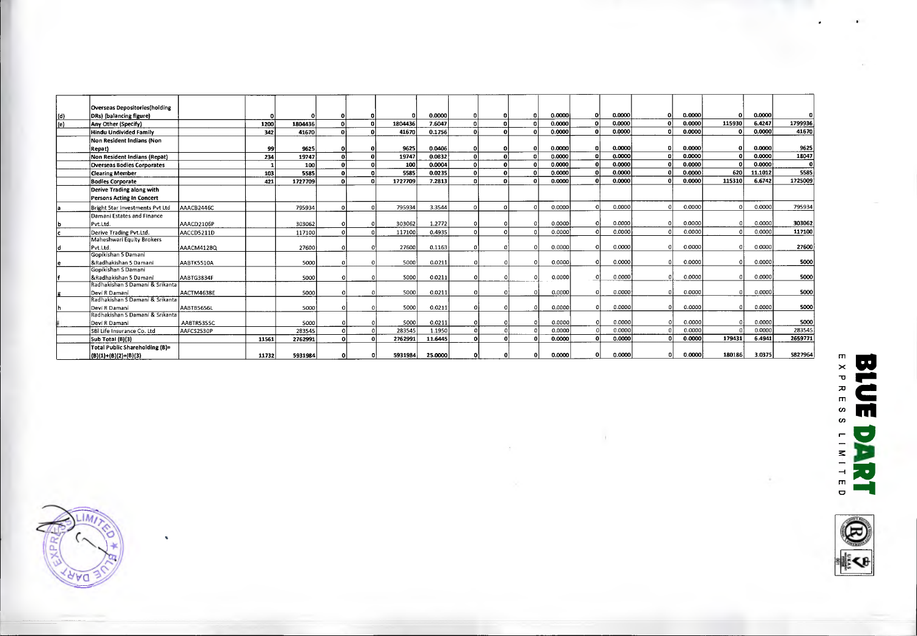|     | Overseas Depositories(holding                    |            |       |         |          |   |         |         |   |              |          |        |     |        |   |        |        |         |         |
|-----|--------------------------------------------------|------------|-------|---------|----------|---|---------|---------|---|--------------|----------|--------|-----|--------|---|--------|--------|---------|---------|
| (d) | DRs) (balancing figure)                          |            |       |         |          |   |         | 0.0000  |   |              | $\Omega$ | 0.0000 | ٥l  | 0.0000 |   | 0.0000 |        | 0.0000  |         |
| (e) | Any Other (Specify)                              |            | 1200  | 1804436 | $\Omega$ | n | 1804436 | 7.6047  |   | n            |          | 0.0000 | -ni | 0.0000 |   | 0.0000 | 115930 | 6.4247  | 1799936 |
|     | Hindu Undivided Family                           |            | 342   | 41670   | $\Omega$ |   | 41670   | 0.1756  |   | $\Omega$     |          | 0.0000 |     | 0.0000 |   | 0.0000 |        | 0.0000  | 41670   |
|     | Non Resident Indians (Non                        |            |       |         |          |   |         |         |   |              |          |        |     |        |   |        |        |         |         |
|     | Repat)                                           |            | 99    | 9625    |          |   | 9625    | 0.0406  |   | 0            |          | 0.0000 |     | 0.0000 |   | 0.0000 |        | 0.0000  | 9625    |
|     | Non Resident Indians (Repat)                     |            | 234   | 19747   | οl       | n | 19747   | 0.0832  |   | $\Omega$     |          | 0.0000 |     | 0.0000 |   | 0.0000 |        | 0.0000  | 18047   |
|     | <b>Overseas Bodies Corporates</b>                |            |       | 100     |          |   | 100     | 0.0004  |   | $\Omega$     |          | 0.0000 |     | 0.0000 |   | 0.0000 |        | 0.0000  |         |
|     | <b>Clearing Member</b>                           |            | 103   | 5585    | $\Omega$ |   | 5585    | 0.0235  |   | $\mathbf{0}$ | ΩI       | 0.0000 |     | 0.0000 |   | 0.0000 | 620    | 11.1012 | 5585    |
|     | <b>Bodies Corporate</b>                          |            | 421   | 1727709 | $\Omega$ |   | 1727709 | 7.2813  | n | $\Omega$     |          | 0.0000 |     | 0.0000 |   | 0.0000 | 115310 | 6.6742  | 1725009 |
|     | Derive Trading along with                        |            |       |         |          |   |         |         |   |              |          |        |     |        |   |        |        |         |         |
|     | Persons Acting In Concert                        |            |       |         |          |   |         |         |   |              |          |        |     |        |   |        |        |         |         |
|     | Bright 5tar Investments Pvt Ltd                  | AAACB2446C |       | 795934  |          |   | 795934  | 3.3544  |   |              |          | 0.0000 |     | 0.0000 |   | 0.0000 |        | 0.0000  | 795934  |
|     | Damani Estates and Finance                       |            |       |         |          |   |         |         |   |              |          |        |     |        |   |        |        |         |         |
|     | Pvt.Ltd.                                         | AAACD2106P |       | 303062  |          |   | 303062  | 1.2772  |   |              |          | 0.0000 |     | 0.0000 |   | 0.0000 |        | 0.0000  | 303062  |
|     | Derive Trading Pvt.Ltd.                          | AACCD5211D |       | 117100  |          |   | 117100  | 0.4935  |   |              |          | 0.0000 |     | 0.0000 |   | 0.0000 |        | 0.0000  | 117100  |
|     | Maheshwari Equity Brokers                        |            |       |         |          |   |         |         |   |              |          |        |     |        |   |        |        |         |         |
|     | Pvt.Ltd.                                         | AAACM41280 |       | 27600   |          |   | 27600   | 0.1163  |   |              |          | 0.0000 |     | 0.0000 |   | 0.0000 |        | 0.0000  | 27600   |
|     | Gopikishan 5 Damani                              |            |       |         |          |   |         |         |   |              |          |        |     |        |   |        |        |         |         |
|     | &Radhakishan 5 Damani                            | AABTK5510A |       | 5000    |          |   | 5000    | 0.0211  |   |              |          | 0.0000 |     | 0.0000 |   | 0.0000 |        | 0.0000  | 5000    |
|     | Gopikishan S Damani                              |            |       |         |          |   |         |         |   |              |          |        |     |        |   |        |        |         |         |
|     | &Radhakishan 5 Damani                            | AABTG3834F |       | 5000    |          |   | 5000    | 0.0211  |   |              |          | 0.0000 |     | 0.0000 |   | 0.0000 |        | 0.0000  | 5000    |
|     | Radhakishan S Damani & Srikanta                  |            |       |         |          |   |         |         |   |              |          |        |     | 0.0000 |   | 0.0000 |        |         |         |
|     | Devi R Damani<br>Radhakishan S Damani & Srikanta | AACTM4638E |       | 5000    |          |   | 5000    | 0.0211  |   |              |          | 0.0000 |     |        |   |        |        | 0.0000  | 5000    |
|     | Devi R Damani                                    | AABTB5656L |       | 5000    |          |   | 5000    | 0.0211  |   |              |          | 0.0000 |     | 0.0000 |   | 0.0000 |        | 0.0000  | 5000    |
|     | Radhakishan S Damani & Srikanta                  |            |       |         |          |   |         |         |   |              |          |        |     |        |   |        |        |         |         |
|     | Devi R Damani                                    | AABTR5355C |       | 5000    |          |   | 5000    | 0.0211  |   |              |          | 0.0000 |     | 0.0000 |   | 0.0000 |        | 0.0000  | 5000    |
|     | SBI Life Insurance Co. Ltd                       | AAFCS2530P |       | 283545  |          |   | 283545  | 1.1950  |   |              |          | 0.0000 |     | 0.0000 |   | 0.0000 |        | 0.0000  | 283545  |
|     | <b>5ub Total (B)(3)</b>                          |            | 11561 | 2762991 |          |   | 2762991 | 11.6445 |   |              |          | 0.0000 |     | 0.0000 | n | 0.0000 | 179431 | 6.4941  | 2659771 |
|     | Total Public Shareholding (B)=                   |            |       |         |          |   |         |         |   |              |          |        |     |        |   |        |        |         |         |
|     | $(B)(1)+(B)(2)+(B)(3)$                           |            | 11732 | 5931984 |          | n | 5931984 | 25.0000 |   |              |          | 0.0000 |     | 0.0000 | n | 0.0000 | 180186 | 3.0375  | 5827964 |
|     |                                                  |            |       |         |          |   |         |         |   |              |          |        |     |        |   |        |        |         |         |



 $\boldsymbol{\eta}$ 

**BLUE** EXPRESS U rnwiteD E 직

tkg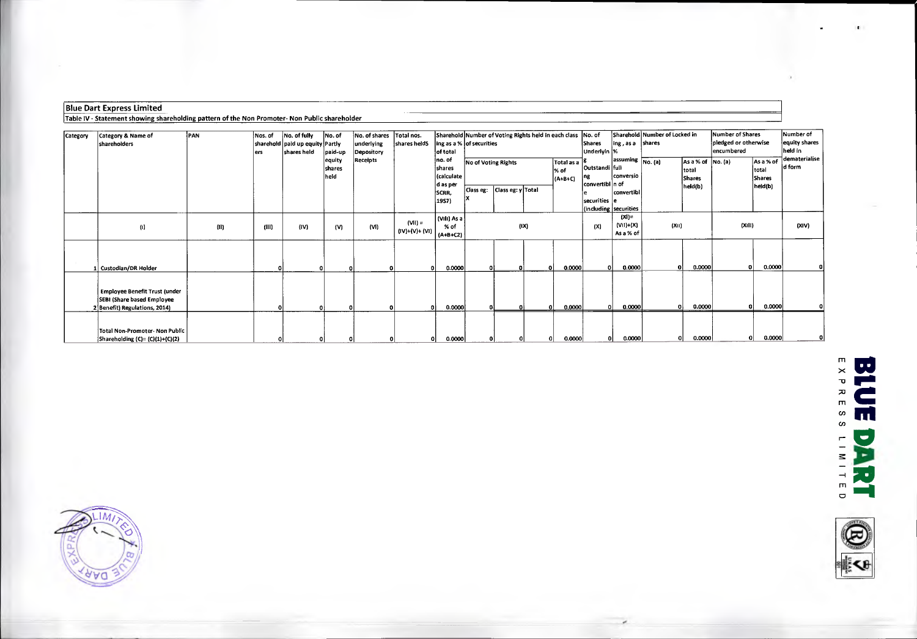#### Blue Dart Express Limited

Table IV - Statement showing shareholding pattern of the Non Promoter- Non Public shareholder

| Category | Category & Name of<br>shareholders                                 | <b>IPAN</b> | Nos. of | No. of fully<br>sharehold   paid up equity   Partly | No. of            | No. of shares<br>underlying | Total nos.<br>shares helds  | ling as a % of securities         |                     |                   | Sharehold Number of Voting Rights held in each class No. of |                                 | Shares                                   | $ $ ing, as a $ $ shares             | Sharehold Number of Locked in |                                    | Number of Shares<br>pledged or otherwise |                            | Number of<br>equity shares |
|----------|--------------------------------------------------------------------|-------------|---------|-----------------------------------------------------|-------------------|-----------------------------|-----------------------------|-----------------------------------|---------------------|-------------------|-------------------------------------------------------------|---------------------------------|------------------------------------------|--------------------------------------|-------------------------------|------------------------------------|------------------------------------------|----------------------------|----------------------------|
|          |                                                                    |             | lers    | shares held                                         | paid-up<br>equity | Depository<br>Receipts      |                             | of total<br>no. of                |                     |                   |                                                             |                                 | Underlyin  %                             | $\sqrt{a}$ assuming $\sqrt{No. (a)}$ |                               | As a % of No. (a)                  | encumbered                               | As a % of                  | held in<br>dematerialise   |
|          |                                                                    |             |         |                                                     | shares<br> heid   |                             |                             | shares<br>(calculate<br>d as per  | No of Voting Rights |                   |                                                             | Total as a<br>% of<br>$(A+B+C)$ | Outstandi full<br>Ing<br>convertibl n of | conversio                            |                               | Itotal<br><b>Shares</b><br>held(b) |                                          | total<br>Shares<br>held(b) | d form                     |
|          |                                                                    |             |         |                                                     |                   |                             |                             | SCRR,<br>19S7)                    | Class eg:           | Class eg: y Total |                                                             |                                 | securities e                             | convertibl                           |                               |                                    |                                          |                            |                            |
|          |                                                                    |             |         |                                                     |                   |                             |                             |                                   |                     |                   |                                                             |                                 |                                          | (including securities)               |                               |                                    |                                          |                            |                            |
|          | $\left( 0 \right)$                                                 | (11)        | (III)   | (iv)                                                | (V)               | (VI)                        | $(VII) =$<br>(IV)+(V)+ (VI) | (Vili) As a<br>$%$ of<br>(A+B+C2) |                     |                   | (IX)                                                        |                                 | (X)                                      | $(XI)$ =<br>(VII)+(X)<br>As a % of   | (X  )                         |                                    | (XiII)                                   |                            | (XIV)                      |
|          |                                                                    |             |         |                                                     |                   |                             |                             |                                   |                     |                   |                                                             |                                 |                                          |                                      |                               |                                    |                                          |                            |                            |
|          |                                                                    |             |         |                                                     |                   |                             |                             |                                   |                     |                   |                                                             |                                 |                                          |                                      |                               |                                    |                                          |                            |                            |
|          | Custodian/DR Holder                                                |             |         |                                                     |                   |                             | $\Omega$                    | 0.0000                            |                     |                   |                                                             | 0.0000                          | 0.                                       | 0.0000                               | $\Omega$                      | 0.0000                             | n                                        | 0.0000                     |                            |
|          |                                                                    |             |         |                                                     |                   |                             |                             |                                   |                     |                   |                                                             |                                 |                                          |                                      |                               |                                    |                                          |                            |                            |
|          | <b>Employee Benefit Trust (under</b><br>SEBI (Share based Employee |             |         |                                                     |                   |                             |                             |                                   |                     |                   |                                                             |                                 |                                          |                                      |                               |                                    |                                          |                            |                            |
|          | Benefit) Regulations, 2014)                                        |             |         |                                                     |                   |                             | ol                          | 0.0000                            |                     |                   |                                                             | 0,0000                          | -ni                                      | 0.0000                               | n                             | 0.0000                             |                                          | 0.0000<br>οl               |                            |
|          |                                                                    |             |         |                                                     |                   |                             |                             |                                   |                     |                   |                                                             |                                 |                                          |                                      |                               |                                    |                                          |                            |                            |
|          | Total Non-Promoter- Non Public<br>Shareholding (C)= (C)(1)+(C)(2)  |             |         |                                                     |                   | οı                          |                             | 0.0000                            |                     |                   |                                                             | 0.0000                          | οl                                       | 0.0000                               |                               | 0.0000                             |                                          | 0.0000<br>ΩI               |                            |